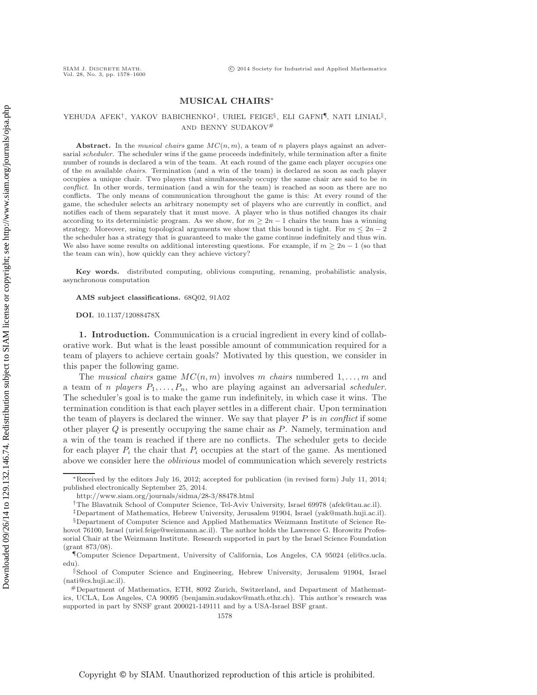## **MUSICAL CHAIRS**∗

#### YEHUDA AFEK<sup>†</sup>, YAKOV BABICHENKO<sup>‡</sup>, URIEL FEIGE<sup>§</sup>, ELI GAFNI¶, NATI LINIAL<sup>∥</sup>, AND BENNY SUDAKOV#

Abstract. In the *musical chairs* game  $MC(n, m)$ , a team of n players plays against an adversarial *scheduler*. The scheduler wins if the game proceeds indefinitely, while termination after a finite number of rounds is declared a win of the team. At each round of the game each player *occupies* one of the m available *chairs*. Termination (and a win of the team) is declared as soon as each player occupies a unique chair. Two players that simultaneously occupy the same chair are said to be *in conflict*. In other words, termination (and a win for the team) is reached as soon as there are no conflicts. The only means of communication throughout the game is this: At every round of the game, the scheduler selects an arbitrary nonempty set of players who are currently in conflict, and notifies each of them separately that it must move. A player who is thus notified changes its chair according to its deterministic program. As we show, for  $m \geq 2n - 1$  chairs the team has a winning strategy. Moreover, using topological arguments we show that this bound is tight. For  $m \leq 2n - 2$ the scheduler has a strategy that is guaranteed to make the game continue indefinitely and thus win. We also have some results on additional interesting questions. For example, if  $m \geq 2n - 1$  (so that the team can win), how quickly can they achieve victory?

**Key words.** distributed computing, oblivious computing, renaming, probabilistic analysis, asynchronous computation

**AMS subject classifications.** 68Q02, 91A02

#### **DOI.** 10.1137/12088478X

**1. Introduction.** Communication is a crucial ingredient in every kind of collaborative work. But what is the least possible amount of communication required for a team of players to achieve certain goals? Motivated by this question, we consider in this paper the following game.

The *musical chairs* game  $MC(n, m)$  involves m *chairs* numbered  $1, \ldots, m$  and a team of *n players*  $P_1, \ldots, P_n$ , who are playing against an adversarial *scheduler*. The scheduler's goal is to make the game run indefinitely, in which case it wins. The termination condition is that each player settles in a different chair. Upon termination the team of players is declared the winner. We say that player  $P$  is *in conflict* if some other player Q is presently occupying the same chair as P. Namely, termination and a win of the team is reached if there are no conflicts. The scheduler gets to decide for each player  $P_i$  the chair that  $P_i$  occupies at the start of the game. As mentioned above we consider here the *oblivious* model of communication which severely restricts

<sup>∗</sup>Received by the editors July 16, 2012; accepted for publication (in revised form) July 11, 2014; published electronically September 25, 2014.

<http://www.siam.org/journals/sidma/28-3/88478.html>

<sup>†</sup>The Blavatnik School of Computer Science, Tel-Aviv University, Israel 69978 [\(afek@tau.ac.il\)](mailto:afek@tau.ac.il).

<sup>‡</sup>Department of Mathematics, Hebrew University, Jerusalem 91904, Israel [\(yak@math.huji.ac.il\)](mailto:yak@math.huji.ac.il). §Department of Computer Science and Applied Mathematics Weizmann Institute of Science Rehovot 76100, Israel [\(uriel.feige@weizmann.ac.il\)](mailto:uriel.feige@weizmann.ac.il). The author holds the Lawrence G. Horowitz Professorial Chair at the Weizmann Institute. Research supported in part by the Israel Science Foundation

<sup>(</sup>grant 873/08). ¶Computer Science Department, University of California, Los Angeles, CA 95024 [\(eli@cs.ucla.](mailto:eli@cs.ucla.edu) [edu\)](mailto:eli@cs.ucla.edu).

<sup>-</sup>School of Computer Science and Engineering, Hebrew University, Jerusalem 91904, Israel [\(nati@cs.huji.ac.il\)](mailto:nati@cs.huji.ac.il).

<sup>#</sup>Department of Mathematics, ETH, 8092 Zurich, Switzerland, and Department of Mathematics, UCLA, Los Angeles, CA 90095 [\(benjamin.sudakov@math.ethz.ch\)](mailto:benjamin.sudakov@math.ethz.ch). This author's research was supported in part by SNSF grant 200021-149111 and by a USA-Israel BSF grant.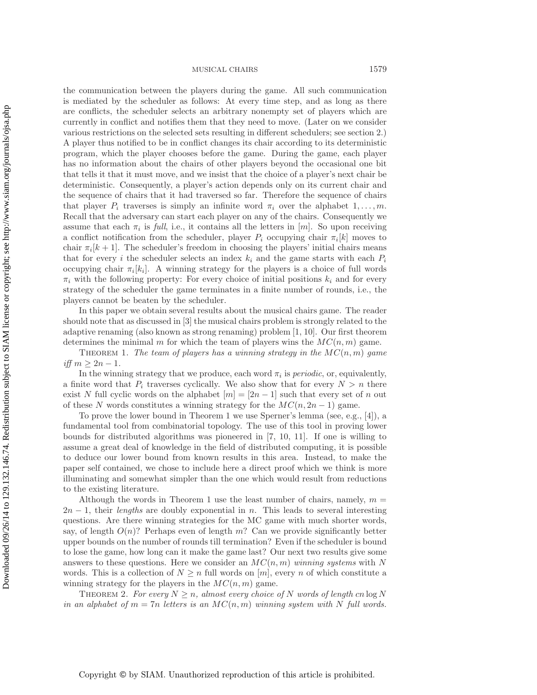MUSICAL CHAIRS 1579

the communication between the players during the game. All such communication is mediated by the scheduler as follows: At every time step, and as long as there are conflicts, the scheduler selects an arbitrary nonempty set of players which are currently in conflict and notifies them that they need to move. (Later on we consider various restrictions on the selected sets resulting in different schedulers; see section [2.](#page-3-0)) A player thus notified to be in conflict changes its chair according to its deterministic program, which the player chooses before the game. During the game, each player has no information about the chairs of other players beyond the occasional one bit that tells it that it must move, and we insist that the choice of a player's next chair be deterministic. Consequently, a player's action depends only on its current chair and the sequence of chairs that it had traversed so far. Therefore the sequence of chairs that player  $P_i$  traverses is simply an infinite word  $\pi_i$  over the alphabet  $1,\ldots,m$ . Recall that the adversary can start each player on any of the chairs. Consequently we assume that each  $\pi_i$  is *full*, i.e., it contains all the letters in  $[m]$ . So upon receiving a conflict notification from the scheduler, player  $P_i$  occupying chair  $\pi_i[k]$  moves to chair  $\pi_i[k+1]$ . The scheduler's freedom in choosing the players' initial chairs means that for every i the scheduler selects an index  $k_i$  and the game starts with each  $P_i$ occupying chair  $\pi_i[k_i]$ . A winning strategy for the players is a choice of full words  $\pi_i$  with the following property: For every choice of initial positions  $k_i$  and for every strategy of the scheduler the game terminates in a finite number of rounds, i.e., the players cannot be beaten by the scheduler.

In this paper we obtain several results about the musical chairs game. The reader should note that as discussed in [\[3\]](#page-22-0) the musical chairs problem is strongly related to the adaptive renaming (also known as strong renaming) problem [\[1,](#page-22-1) [10\]](#page-22-2). Our first theorem determines the minimal m for which the team of players wins the  $MC(n, m)$  game.

<span id="page-1-0"></span>THEOREM 1. The team of players has a winning strategy in the  $MC(n, m)$  game *iff*  $m > 2n - 1$ .

In the winning strategy that we produce, each word  $\pi_i$  is *periodic*, or, equivalently, a finite word that  $P_i$  traverses cyclically. We also show that for every  $N > n$  there exist N full cyclic words on the alphabet  $[m] = [2n - 1]$  such that every set of n out of these N words constitutes a winning strategy for the  $MC(n, 2n-1)$  game.

To prove the lower bound in Theorem [1](#page-1-0) we use Sperner's lemma (see, e.g., [\[4\]](#page-22-3)), a fundamental tool from combinatorial topology. The use of this tool in proving lower bounds for distributed algorithms was pioneered in [\[7,](#page-22-4) [10,](#page-22-2) [11\]](#page-22-5). If one is willing to assume a great deal of knowledge in the field of distributed computing, it is possible to deduce our lower bound from known results in this area. Instead, to make the paper self contained, we chose to include here a direct proof which we think is more illuminating and somewhat simpler than the one which would result from reductions to the existing literature.

Although the words in Theorem [1](#page-1-0) use the least number of chairs, namely,  $m =$  $2n-1$ , their *lengths* are doubly exponential in n. This leads to several interesting questions. Are there winning strategies for the MC game with much shorter words, say, of length  $O(n)$ ? Perhaps even of length m? Can we provide significantly better upper bounds on the number of rounds till termination? Even if the scheduler is bound to lose the game, how long can it make the game last? Our next two results give some answers to these questions. Here we consider an  $MC(n, m)$  *winning systems* with N words. This is a collection of  $N \geq n$  full words on  $[m]$ , every n of which constitute a winning strategy for the players in the  $MC(n, m)$  game.

<span id="page-1-1"></span>THEOREM 2. For every  $N \geq n$ , almost every choice of N words of length cn  $log N$ *in an alphabet of*  $m = 7n$  *letters is an*  $MC(n, m)$  *winning system with* N full words.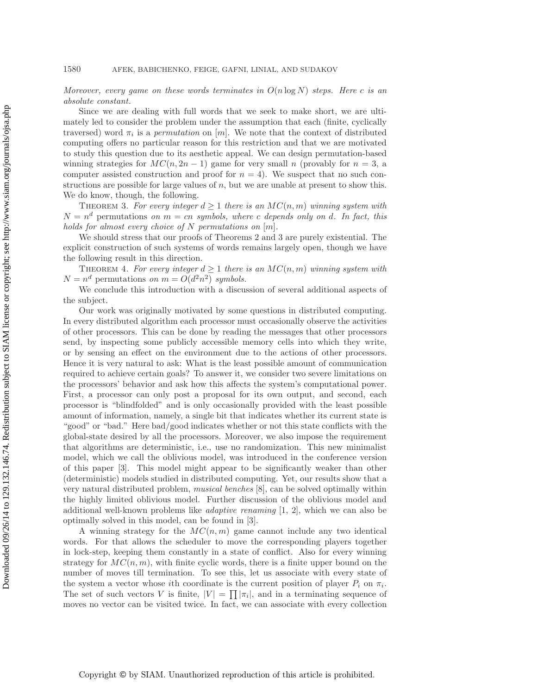*Moreover, every game on these words terminates in* O(n log N) *steps. Here* c *is an absolute constant.*

Since we are dealing with full words that we seek to make short, we are ultimately led to consider the problem under the assumption that each (finite, cyclically traversed) word  $\pi_i$  is a *permutation* on [m]. We note that the context of distributed computing offers no particular reason for this restriction and that we are motivated to study this question due to its aesthetic appeal. We can design permutation-based winning strategies for  $MC(n, 2n-1)$  game for very small n (provably for  $n=3$ , a computer assisted construction and proof for  $n = 4$ ). We suspect that no such constructions are possible for large values of  $n$ , but we are unable at present to show this. We do know, though, the following.

<span id="page-2-0"></span>THEOREM 3. For every integer  $d \geq 1$  there is an  $MC(n, m)$  winning system with  $N = n<sup>d</sup>$  permutations *on*  $m = cn$  *symbols, where c depends only on d.* In fact, this *holds for almost every choice of* N *permutations on* [m]*.*

We should stress that our proofs of Theorems [2](#page-1-1) and [3](#page-2-0) are purely existential. The explicit construction of such systems of words remains largely open, though we have the following result in this direction.

<span id="page-2-1"></span>THEOREM 4. For every integer  $d \geq 1$  there is an  $MC(n, m)$  winning system with  $N = n^d$  permutations *on*  $m = O(d^2n^2)$  *symbols.* 

We conclude this introduction with a discussion of several additional aspects of the subject.

Our work was originally motivated by some questions in distributed computing. In every distributed algorithm each processor must occasionally observe the activities of other processors. This can be done by reading the messages that other processors send, by inspecting some publicly accessible memory cells into which they write, or by sensing an effect on the environment due to the actions of other processors. Hence it is very natural to ask: What is the least possible amount of communication required to achieve certain goals? To answer it, we consider two severe limitations on the processors' behavior and ask how this affects the system's computational power. First, a processor can only post a proposal for its own output, and second, each processor is "blindfolded" and is only occasionally provided with the least possible amount of information, namely, a single bit that indicates whether its current state is "good" or "bad." Here bad/good indicates whether or not this state conflicts with the global-state desired by all the processors. Moreover, we also impose the requirement that algorithms are deterministic, i.e., use no randomization. This new minimalist model, which we call the oblivious model, was introduced in the conference version of this paper [\[3\]](#page-22-0). This model might appear to be significantly weaker than other (deterministic) models studied in distributed computing. Yet, our results show that a very natural distributed problem, *musical benches* [\[8\]](#page-22-6), can be solved optimally within the highly limited oblivious model. Further discussion of the oblivious model and additional well-known problems like *adaptive renaming* [\[1,](#page-22-1) [2\]](#page-22-7), which we can also be optimally solved in this model, can be found in [\[3\]](#page-22-0).

A winning strategy for the  $MC(n, m)$  game cannot include any two identical words. For that allows the scheduler to move the corresponding players together in lock-step, keeping them constantly in a state of conflict. Also for every winning strategy for  $MC(n, m)$ , with finite cyclic words, there is a finite upper bound on the number of moves till termination. To see this, let us associate with every state of the system a vector whose ith coordinate is the current position of player  $P_i$  on  $\pi_i$ . The set of such vectors V is finite,  $|V| = \prod |\pi_i|$ , and in a terminating sequence of moves no vector can be visited twice. In fact, we can associate with every collection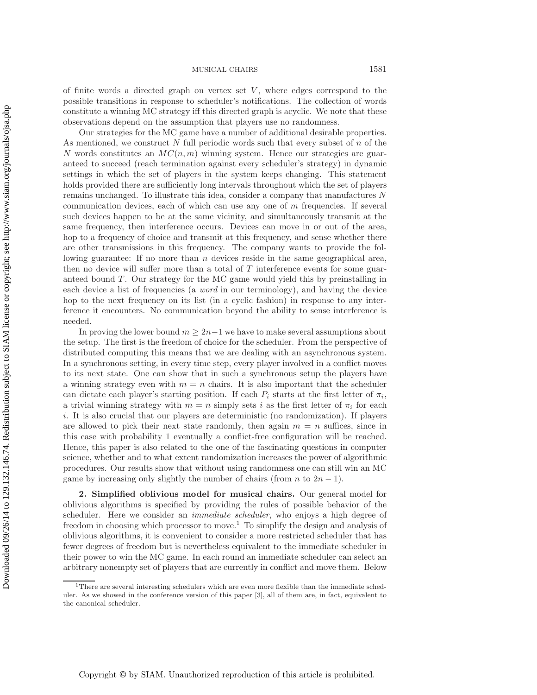MUSICAL CHAIRS 1581

of finite words a directed graph on vertex set  $V$ , where edges correspond to the possible transitions in response to scheduler's notifications. The collection of words constitute a winning MC strategy iff this directed graph is acyclic. We note that these observations depend on the assumption that players use no randomness.

Our strategies for the MC game have a number of additional desirable properties. As mentioned, we construct  $N$  full periodic words such that every subset of  $n$  of the N words constitutes an  $MC(n, m)$  winning system. Hence our strategies are guaranteed to succeed (reach termination against every scheduler's strategy) in dynamic settings in which the set of players in the system keeps changing. This statement holds provided there are sufficiently long intervals throughout which the set of players remains unchanged. To illustrate this idea, consider a company that manufactures N communication devices, each of which can use any one of m frequencies. If several such devices happen to be at the same vicinity, and simultaneously transmit at the same frequency, then interference occurs. Devices can move in or out of the area, hop to a frequency of choice and transmit at this frequency, and sense whether there are other transmissions in this frequency. The company wants to provide the following guarantee: If no more than  $n$  devices reside in the same geographical area, then no device will suffer more than a total of  $T$  interference events for some guaranteed bound  $T$ . Our strategy for the MC game would yield this by preinstalling in each device a list of frequencies (a *word* in our terminology), and having the device hop to the next frequency on its list (in a cyclic fashion) in response to any interference it encounters. No communication beyond the ability to sense interference is needed.

In proving the lower bound  $m \geq 2n-1$  we have to make several assumptions about the setup. The first is the freedom of choice for the scheduler. From the perspective of distributed computing this means that we are dealing with an asynchronous system. In a synchronous setting, in every time step, every player involved in a conflict moves to its next state. One can show that in such a synchronous setup the players have a winning strategy even with  $m = n$  chairs. It is also important that the scheduler can dictate each player's starting position. If each  $P_i$  starts at the first letter of  $\pi_i$ , a trivial winning strategy with  $m = n$  simply sets i as the first letter of  $\pi_i$  for each i. It is also crucial that our players are deterministic (no randomization). If players are allowed to pick their next state randomly, then again  $m = n$  suffices, since in this case with probability 1 eventually a conflict-free configuration will be reached. Hence, this paper is also related to the one of the fascinating questions in computer science, whether and to what extent randomization increases the power of algorithmic procedures. Our results show that without using randomness one can still win an MC game by increasing only slightly the number of chairs (from  $n$  to  $2n-1$ ).

<span id="page-3-0"></span>**2. Simplified oblivious model for musical chairs.** Our general model for oblivious algorithms is specified by providing the rules of possible behavior of the scheduler. Here we consider an *immediate scheduler*, who enjoys a high degree of freedom in choosing which processor to move.<sup>[1](#page-3-1)</sup> To simplify the design and analysis of oblivious algorithms, it is convenient to consider a more restricted scheduler that has fewer degrees of freedom but is nevertheless equivalent to the immediate scheduler in their power to win the MC game. In each round an immediate scheduler can select an arbitrary nonempty set of players that are currently in conflict and move them. Below

<span id="page-3-1"></span><sup>&</sup>lt;sup>1</sup>There are several interesting schedulers which are even more flexible than the immediate scheduler. As we showed in the conference version of this paper [\[3\]](#page-22-0), all of them are, in fact, equivalent to the canonical scheduler.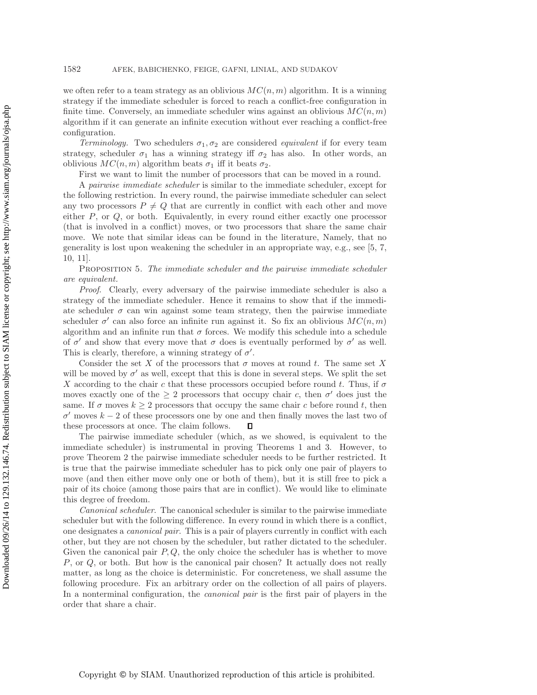we often refer to a team strategy as an oblivious  $MC(n, m)$  algorithm. It is a winning strategy if the immediate scheduler is forced to reach a conflict-free configuration in finite time. Conversely, an immediate scheduler wins against an oblivious  $MC(n, m)$ algorithm if it can generate an infinite execution without ever reaching a conflict-free configuration.

*Terminology.* Two schedulers  $\sigma_1, \sigma_2$  are considered *equivalent* if for every team strategy, scheduler  $\sigma_1$  has a winning strategy iff  $\sigma_2$  has also. In other words, an oblivious  $MC(n, m)$  algorithm beats  $\sigma_1$  iff it beats  $\sigma_2$ .

First we want to limit the number of processors that can be moved in a round.

A *pairwise immediate scheduler* is similar to the immediate scheduler, except for the following restriction. In every round, the pairwise immediate scheduler can select any two processors  $P \neq Q$  that are currently in conflict with each other and move either  $P$ , or  $Q$ , or both. Equivalently, in every round either exactly one processor (that is involved in a conflict) moves, or two processors that share the same chair move. We note that similar ideas can be found in the literature, Namely, that no generality is lost upon weakening the scheduler in an appropriate way, e.g., see [\[5,](#page-22-8) [7,](#page-22-4) [10,](#page-22-2) [11\]](#page-22-5).

<span id="page-4-0"></span>Proposition 5. *The immediate scheduler and the pairwise immediate scheduler are equivalent.*

*Proof*. Clearly, every adversary of the pairwise immediate scheduler is also a strategy of the immediate scheduler. Hence it remains to show that if the immediate scheduler  $\sigma$  can win against some team strategy, then the pairwise immediate scheduler  $\sigma'$  can also force an infinite run against it. So fix an oblivious  $MC(n, m)$ algorithm and an infinite run that  $\sigma$  forces. We modify this schedule into a schedule of  $\sigma'$  and show that every move that  $\sigma$  does is eventually performed by  $\sigma'$  as well. This is clearly, therefore, a winning strategy of  $\sigma'$ .

Consider the set X of the processors that  $\sigma$  moves at round t. The same set X will be moved by  $\sigma'$  as well, except that this is done in several steps. We split the set X according to the chair c that these processors occupied before round t. Thus, if  $\sigma$ moves exactly one of the  $\geq 2$  processors that occupy chair c, then  $\sigma'$  does just the same. If  $\sigma$  moves  $k \geq 2$  processors that occupy the same chair c before round t, then  $\sigma'$  moves  $k - 2$  of these processors one by one and then finally moves the last two of these processors at once. The claim follows. П

The pairwise immediate scheduler (which, as we showed, is equivalent to the immediate scheduler) is instrumental in proving Theorems [1](#page-1-0) and [3.](#page-2-0) However, to prove Theorem [2](#page-1-1) the pairwise immediate scheduler needs to be further restricted. It is true that the pairwise immediate scheduler has to pick only one pair of players to move (and then either move only one or both of them), but it is still free to pick a pair of its choice (among those pairs that are in conflict). We would like to eliminate this degree of freedom.

*Canonical scheduler*. The canonical scheduler is similar to the pairwise immediate scheduler but with the following difference. In every round in which there is a conflict, one designates a *canonical pair*. This is a pair of players currently in conflict with each other, but they are not chosen by the scheduler, but rather dictated to the scheduler. Given the canonical pair  $P, Q$ , the only choice the scheduler has is whether to move P, or Q, or both. But how is the canonical pair chosen? It actually does not really matter, as long as the choice is deterministic. For concreteness, we shall assume the following procedure. Fix an arbitrary order on the collection of all pairs of players. In a nonterminal configuration, the *canonical pair* is the first pair of players in the order that share a chair.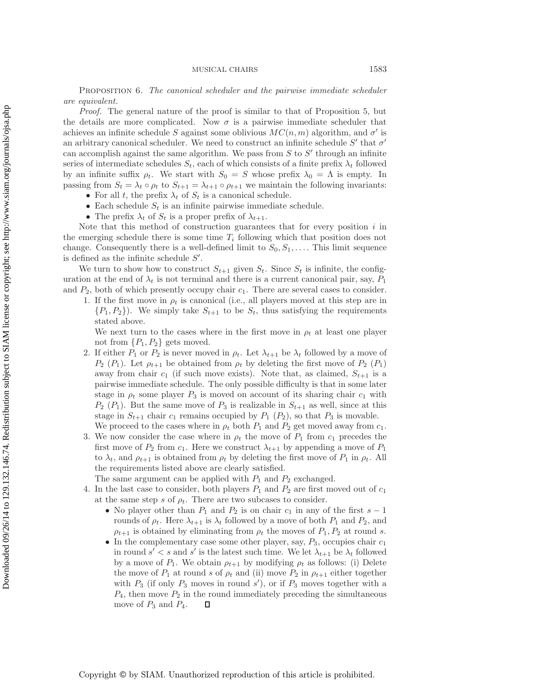Proposition 6. *The canonical scheduler and the pairwise immediate scheduler are equivalent.*

*Proof.* The general nature of the proof is similar to that of Proposition [5,](#page-4-0) but the details are more complicated. Now  $\sigma$  is a pairwise immediate scheduler that achieves an infinite schedule S against some oblivious  $MC(n, m)$  algorithm, and  $\sigma'$  is an arbitrary canonical scheduler. We need to construct an infinite schedule S' that  $\sigma'$ can accomplish against the same algorithm. We pass from  $S$  to  $S'$  through an infinite series of intermediate schedules  $S_t$ , each of which consists of a finite prefix  $\lambda_t$  followed by an infinite suffix  $\rho_t$ . We start with  $S_0 = S$  whose prefix  $\lambda_0 = \Lambda$  is empty. In passing from  $S_t = \lambda_t \circ \rho_t$  to  $S_{t+1} = \lambda_{t+1} \circ \rho_{t+1}$  we maintain the following invariants:

- For all t, the prefix  $\lambda_t$  of  $S_t$  is a canonical schedule.
- Each schedule  $S_t$  is an infinite pairwise immediate schedule.
- The prefix  $\lambda_t$  of  $S_t$  is a proper prefix of  $\lambda_{t+1}$ .

Note that this method of construction guarantees that for every position  $i$  in the emerging schedule there is some time  $T_i$  following which that position does not change. Consequently there is a well-defined limit to  $S_0, S_1, \ldots$ . This limit sequence is defined as the infinite schedule  $S'$ .

We turn to show how to construct  $S_{t+1}$  given  $S_t$ . Since  $S_t$  is infinite, the configuration at the end of  $\lambda_t$  is not terminal and there is a current canonical pair, say,  $P_1$ and  $P_2$ , both of which presently occupy chair  $c_1$ . There are several cases to consider.

1. If the first move in  $\rho_t$  is canonical (i.e., all players moved at this step are in  $\{P_1, P_2\}$ . We simply take  $S_{t+1}$  to be  $S_t$ , thus satisfying the requirements stated above.

We next turn to the cases where in the first move in  $\rho_t$  at least one player not from  $\{P_1, P_2\}$  gets moved.

- 2. If either  $P_1$  or  $P_2$  is never moved in  $\rho_t$ . Let  $\lambda_{t+1}$  be  $\lambda_t$  followed by a move of  $P_2$  ( $P_1$ ). Let  $\rho_{t+1}$  be obtained from  $\rho_t$  by deleting the first move of  $P_2$  ( $P_1$ ) away from chair  $c_1$  (if such move exists). Note that, as claimed,  $S_{t+1}$  is a pairwise immediate schedule. The only possible difficulty is that in some later stage in  $\rho_t$  some player  $P_3$  is moved on account of its sharing chair  $c_1$  with  $P_2$  ( $P_1$ ). But the same move of  $P_3$  is realizable in  $S_{t+1}$  as well, since at this stage in  $S_{t+1}$  chair  $c_1$  remains occupied by  $P_1$  ( $P_2$ ), so that  $P_3$  is movable.
- We proceed to the cases where in  $\rho_t$  both  $P_1$  and  $P_2$  get moved away from  $c_1$ . 3. We now consider the case where in  $\rho_t$  the move of  $P_1$  from  $c_1$  precedes the first move of  $P_2$  from  $c_1$ . Here we construct  $\lambda_{t+1}$  by appending a move of  $P_1$ to  $\lambda_t$ , and  $\rho_{t+1}$  is obtained from  $\rho_t$  by deleting the first move of  $P_1$  in  $\rho_t$ . All the requirements listed above are clearly satisfied.
- The same argument can be applied with  $P_1$  and  $P_2$  exchanged.
- 4. In the last case to consider, both players  $P_1$  and  $P_2$  are first moved out of  $c_1$ at the same step s of  $\rho_t$ . There are two subcases to consider.
	- No player other than  $P_1$  and  $P_2$  is on chair  $c_1$  in any of the first  $s-1$ rounds of  $\rho_t$ . Here  $\lambda_{t+1}$  is  $\lambda_t$  followed by a move of both  $P_1$  and  $P_2$ , and  $\rho_{t+1}$  is obtained by eliminating from  $\rho_t$  the moves of  $P_1, P_2$  at round s.
	- In the complementary case some other player, say,  $P_3$ , occupies chair  $c_1$ in round  $s' < s$  and s' is the latest such time. We let  $\lambda_{t+1}$  be  $\lambda_t$  followed by a move of  $P_1$ . We obtain  $\rho_{t+1}$  by modifying  $\rho_t$  as follows: (i) Delete the move of  $P_1$  at round s of  $\rho_t$  and (ii) move  $P_2$  in  $\rho_{t+1}$  either together with  $P_3$  (if only  $P_3$  moves in round s'), or if  $P_3$  moves together with a  $P_4$ , then move  $P_2$  in the round immediately preceding the simultaneous move of  $P_3$  and  $P_4$ . П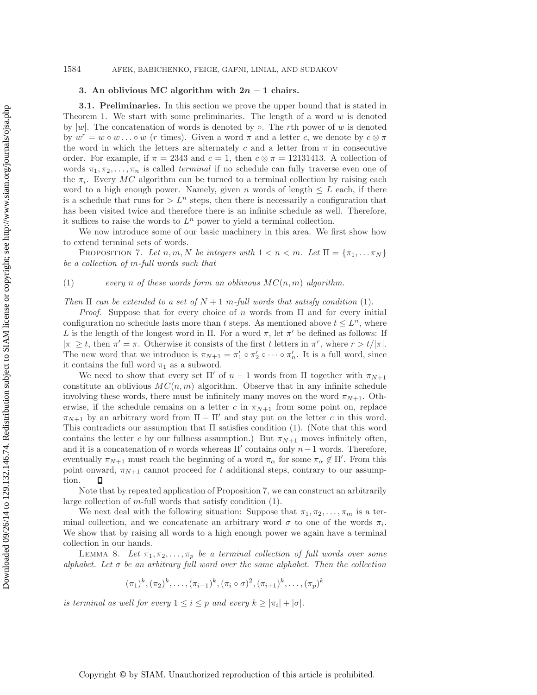## 1584 AFEK, BABICHENKO, FEIGE, GAFNI, LINIAL, AND SUDAKOV

# **3. An oblivious MC algorithm with 2***n −* **1 chairs.**

**3.1. Preliminaries.** In this section we prove the upper bound that is stated in Theorem [1.](#page-1-0) We start with some preliminaries. The length of a word  $w$  is denoted by |w|. The concatenation of words is denoted by  $\circ$ . The rth power of w is denoted by  $w^r = w \circ w \dots \circ w$  (r times). Given a word  $\pi$  and a letter c, we denote by  $c \otimes \pi$ the word in which the letters are alternately c and a letter from  $\pi$  in consecutive order. For example, if  $\pi = 2343$  and  $c = 1$ , then  $c \otimes \pi = 12131413$ . A collection of words  $\pi_1, \pi_2, \ldots, \pi_n$  is called *terminal* if no schedule can fully traverse even one of the  $\pi_i$ . Every MC algorithm can be turned to a terminal collection by raising each word to a high enough power. Namely, given n words of length  $\leq L$  each, if there is a schedule that runs for  $>L^n$  steps, then there is necessarily a configuration that has been visited twice and therefore there is an infinite schedule as well. Therefore, it suffices to raise the words to  $L^n$  power to yield a terminal collection.

<span id="page-6-1"></span>We now introduce some of our basic machinery in this area. We first show how to extend terminal sets of words.

<span id="page-6-0"></span>PROPOSITION 7. Let  $n, m, N$  be integers with  $1 < n < m$ . Let  $\Pi = {\pi_1, \dots, \pi_N}$ *be a collection of* m*-full words such that*

# (1) *every* n *of these words form an oblivious* MC(n, m) *algorithm*.

*Then*  $\Pi$  *can be extended to a set of*  $N+1$  *m-full words that satisfy condition* [\(1\)](#page-6-0).

*Proof.* Suppose that for every choice of n words from  $\Pi$  and for every initial configuration no schedule lasts more than t steps. As mentioned above  $t \leq L<sup>n</sup>$ , where L is the length of the longest word in Π. For a word  $\pi$ , let  $\pi'$  be defined as follows: If  $|\pi| \geq t$ , then  $\pi' = \pi$ . Otherwise it consists of the first t letters in  $\pi^r$ , where  $r > t/|\pi|$ . The new word that we introduce is  $\pi_{N+1} = \pi'_1 \circ \pi'_2 \circ \cdots \circ \pi'_n$ . It is a full word, since it contains the full word  $\pi_1$  as a subword.

We need to show that every set  $\Pi'$  of  $n-1$  words from  $\Pi$  together with  $\pi_{N+1}$ constitute an oblivious  $MC(n, m)$  algorithm. Observe that in any infinite schedule involving these words, there must be infinitely many moves on the word  $\pi_{N+1}$ . Otherwise, if the schedule remains on a letter c in  $\pi_{N+1}$  from some point on, replace  $\pi_{N+1}$  by an arbitrary word from  $\Pi - \Pi'$  and stay put on the letter c in this word. This contradicts our assumption that Π satisfies condition [\(1\)](#page-6-0). (Note that this word contains the letter c by our fullness assumption.) But  $\pi_{N+1}$  moves infinitely often, and it is a concatenation of n words whereas  $\Pi'$  contains only  $n-1$  words. Therefore, eventually  $\pi_{N+1}$  must reach the beginning of a word  $\pi_{\alpha}$  for some  $\pi_{\alpha} \notin \Pi'$ . From this point onward,  $\pi_{N+1}$  cannot proceed for t additional steps, contrary to our assumption. □

Note that by repeated application of Proposition [7,](#page-6-1) we can construct an arbitrarily large collection of  $m$ -full words that satisfy condition  $(1)$ .

We next deal with the following situation: Suppose that  $\pi_1, \pi_2, \ldots, \pi_m$  is a terminal collection, and we concatenate an arbitrary word  $\sigma$  to one of the words  $\pi_i$ . We show that by raising all words to a high enough power we again have a terminal collection in our hands.

<span id="page-6-2"></span>LEMMA 8. Let  $\pi_1, \pi_2, \ldots, \pi_p$  be a terminal collection of full words over some *alphabet.* Let  $\sigma$  be an arbitrary full word over the same alphabet. Then the collection

$$
(\pi_1)^k, (\pi_2)^k, \ldots, (\pi_{i-1})^k, (\pi_i \circ \sigma)^2, (\pi_{i+1})^k, \ldots, (\pi_p)^k
$$

*is terminal as well for every*  $1 \leq i \leq p$  *and every*  $k \geq |\pi_i| + |\sigma|$ *.*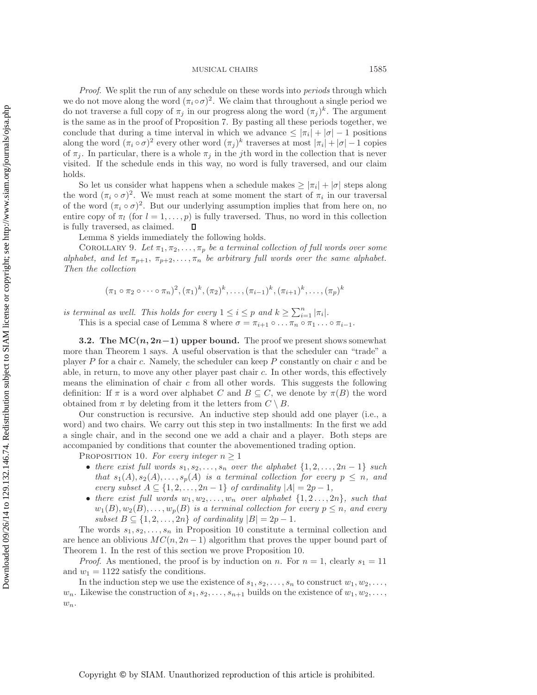*Proof*. We split the run of any schedule on these words into *periods* through which we do not move along the word  $(\pi_i \circ \sigma)^2$ . We claim that throughout a single period we do not traverse a full copy of  $\pi_j$  in our progress along the word  $(\pi_j)^k$ . The argument is the same as in the proof of Proposition [7.](#page-6-1) By pasting all these periods together, we conclude that during a time interval in which we advance  $\leq |\pi_i| + |\sigma| - 1$  positions along the word  $(\pi_i \circ \sigma)^2$  every other word  $(\pi_j)^k$  traverses at most  $|\pi_i| + |\sigma| - 1$  copies of  $\pi_j$ . In particular, there is a whole  $\pi_j$  in the j<sup>th</sup> word in the collection that is never visited. If the schedule ends in this way, no word is fully traversed, and our claim holds.

So let us consider what happens when a schedule makes  $\geq |\pi_i| + |\sigma|$  steps along the word  $(\pi_i \circ \sigma)^2$ . We must reach at some moment the start of  $\pi_i$  in our traversal of the word  $(\pi_i \circ \sigma)^2$ . But our underlying assumption implies that from here on, no entire copy of  $\pi_l$  (for  $l = 1, \ldots, p$ ) is fully traversed. Thus, no word in this collection is fully traversed, as claimed. Л

Lemma [8](#page-6-2) yields immediately the following holds.

<span id="page-7-1"></span>COROLLARY 9. Let  $\pi_1, \pi_2, \ldots, \pi_p$  be a terminal collection of full words over some *alphabet, and let*  $\pi_{p+1}, \pi_{p+2}, \ldots, \pi_n$  *be arbitrary full words over the same alphabet. Then the collection*

$$
(\pi_1 \circ \pi_2 \circ \cdots \circ \pi_n)^2, (\pi_1)^k, (\pi_2)^k, \ldots, (\pi_{i-1})^k, (\pi_{i+1})^k, \ldots, (\pi_p)^k
$$

*is terminal as well. This holds for every*  $1 \leq i \leq p$  *and*  $k \geq \sum_{i=1}^{n} |\pi_i|$ *.* 

This is a special case of Lemma [8](#page-6-2) where  $\sigma = \pi_{i+1} \circ \dots \pi_n \circ \pi_1 \dots \circ \pi_{i-1}$ .

**3.2.** The MC $(n, 2n-1)$  upper bound. The proof we present shows somewhat more than Theorem [1](#page-1-0) says. A useful observation is that the scheduler can "trade" a player  $P$  for a chair  $c$ . Namely, the scheduler can keep  $P$  constantly on chair  $c$  and be able, in return, to move any other player past chair c. In other words, this effectively means the elimination of chair  $c$  from all other words. This suggests the following definition: If  $\pi$  is a word over alphabet C and  $B \subseteq C$ , we denote by  $\pi(B)$  the word obtained from  $\pi$  by deleting from it the letters from  $C \setminus B$ .

Our construction is recursive. An inductive step should add one player (i.e., a word) and two chairs. We carry out this step in two installments: In the first we add a single chair, and in the second one we add a chair and a player. Both steps are accompanied by conditions that counter the abovementioned trading option.

<span id="page-7-0"></span>PROPOSITION 10. For every integer  $n \geq 1$ 

- *there exist full words*  $s_1, s_2, \ldots, s_n$  *over the alphabet*  $\{1, 2, \ldots, 2n 1\}$  *such that*  $s_1(A), s_2(A), \ldots, s_p(A)$  *is a terminal collection for every*  $p \leq n$ *, and every subset*  $A \subseteq \{1, 2, ..., 2n-1\}$  *of cardinality*  $|A| = 2p - 1$ *,*
- *there exist full words*  $w_1, w_2, \ldots, w_n$  *over alphabet*  $\{1, 2 \ldots, 2n\}$ *, such that*  $w_1(B), w_2(B), \ldots, w_p(B)$  *is a terminal collection for every*  $p \leq n$ *, and every subset*  $B \subseteq \{1, 2, ..., 2n\}$  *of cardinality*  $|B| = 2p - 1$ *.*

The words  $s_1, s_2, \ldots, s_n$  in Proposition [10](#page-7-0) constitute a terminal collection and are hence an oblivious  $MC(n, 2n-1)$  algorithm that proves the upper bound part of Theorem [1.](#page-1-0) In the rest of this section we prove Proposition [10.](#page-7-0)

*Proof.* As mentioned, the proof is by induction on n. For  $n = 1$ , clearly  $s_1 = 11$ and  $w_1 = 1122$  satisfy the conditions.

In the induction step we use the existence of  $s_1, s_2, \ldots, s_n$  to construct  $w_1, w_2, \ldots$ ,  $w_n$ . Likewise the construction of  $s_1, s_2, \ldots, s_{n+1}$  builds on the existence of  $w_1, w_2, \ldots,$  $w_n$ .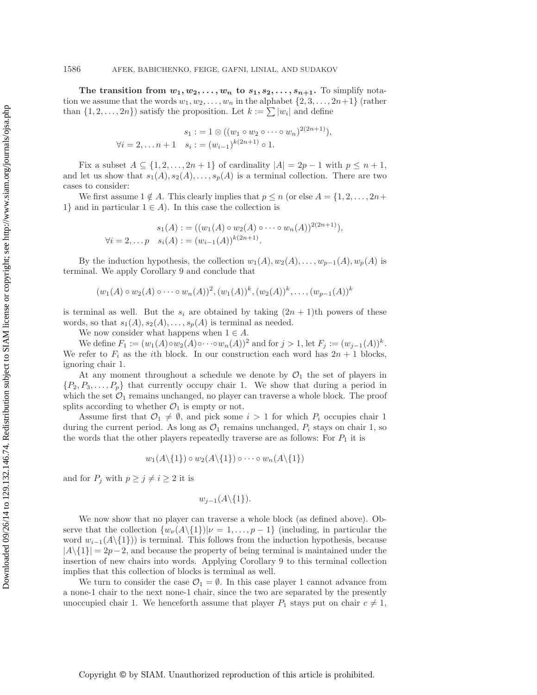**The transition from**  $w_1, w_2, \ldots, w_n$  to  $s_1, s_2, \ldots, s_{n+1}$ . To simplify notation we assume that the words  $w_1, w_2, \ldots, w_n$  in the alphabet  $\{2, 3, \ldots, 2n+1\}$  (rather than  $\{1, 2, ..., 2n\}$  satisfy the proposition. Let  $k := \sum |w_i|$  and define

$$
s_1 := 1 \otimes ((w_1 \circ w_2 \circ \cdots \circ w_n)^{2(2n+1)}),
$$
  

$$
\forall i = 2, \dots n+1 \quad s_i := (w_{i-1})^{k(2n+1)} \circ 1.
$$

Fix a subset  $A \subseteq \{1, 2, ..., 2n + 1\}$  of cardinality  $|A| = 2p - 1$  with  $p \leq n + 1$ , and let us show that  $s_1(A), s_2(A), \ldots, s_p(A)$  is a terminal collection. There are two cases to consider:

We first assume  $1 \notin A$ . This clearly implies that  $p \leq n$  (or else  $A = \{1, 2, \ldots, 2n+\}$ 1} and in particular  $1 \in A$ ). In this case the collection is

$$
s_1(A) := ((w_1(A) \circ w_2(A) \circ \cdots \circ w_n(A))^{2(2n+1)}),
$$
  

$$
\forall i = 2, \dots p \quad s_i(A) := (w_{i-1}(A))^{k(2n+1)}.
$$

By the induction hypothesis, the collection  $w_1(A), w_2(A), \ldots, w_{p-1}(A), w_p(A)$  is terminal. We apply Corollary [9](#page-7-1) and conclude that

$$
(w_1(A) \circ w_2(A) \circ \cdots \circ w_n(A))^2
$$
,  $(w_1(A))^k$ ,  $(w_2(A))^k$ , ...,  $(w_{p-1}(A))^k$ 

is terminal as well. But the  $s_i$  are obtained by taking  $(2n + 1)$ th powers of these words, so that  $s_1(A), s_2(A), \ldots, s_p(A)$  is terminal as needed.

We now consider what happens when  $1 \in A$ .

We define  $F_1 := (w_1(A) \circ w_2(A) \circ \cdots \circ w_n(A))^2$  and for  $j > 1$ , let  $F_j := (w_{j-1}(A))^k$ . We refer to  $F_i$  as the *i*th block. In our construction each word has  $2n + 1$  blocks, ignoring chair 1.

At any moment throughout a schedule we denote by  $\mathcal{O}_1$  the set of players in  $\{P_2, P_3, \ldots, P_p\}$  that currently occupy chair 1. We show that during a period in which the set  $\mathcal{O}_1$  remains unchanged, no player can traverse a whole block. The proof splits according to whether  $\mathcal{O}_1$  is empty or not.

Assume first that  $\mathcal{O}_1 \neq \emptyset$ , and pick some  $i > 1$  for which  $P_i$  occupies chair 1 during the current period. As long as  $\mathcal{O}_1$  remains unchanged,  $P_i$  stays on chair 1, so the words that the other players repeatedly traverse are as follows: For  $P_1$  it is

$$
w_1(A \setminus \{1\}) \circ w_2(A \setminus \{1\}) \circ \cdots \circ w_n(A \setminus \{1\})
$$

and for  $P_j$  with  $p \geq j \neq i \geq 2$  it is

$$
w_{j-1}(A\backslash\{1\}).
$$

We now show that no player can traverse a whole block (as defined above). Observe that the collection  $\{w_{\nu}(A\setminus\{1\})|\nu=1,\ldots,p-1\}$  (including, in particular the word  $w_{i-1}(A\{1\})$  is terminal. This follows from the induction hypothesis, because  $|A\setminus\{1\}| = 2p-2$ , and because the property of being terminal is maintained under the insertion of new chairs into words. Applying Corollary [9](#page-7-1) to this terminal collection implies that this collection of blocks is terminal as well.

We turn to consider the case  $\mathcal{O}_1 = \emptyset$ . In this case player 1 cannot advance from a none-1 chair to the next none-1 chair, since the two are separated by the presently unoccupied chair 1. We henceforth assume that player  $P_1$  stays put on chair  $c \neq 1$ ,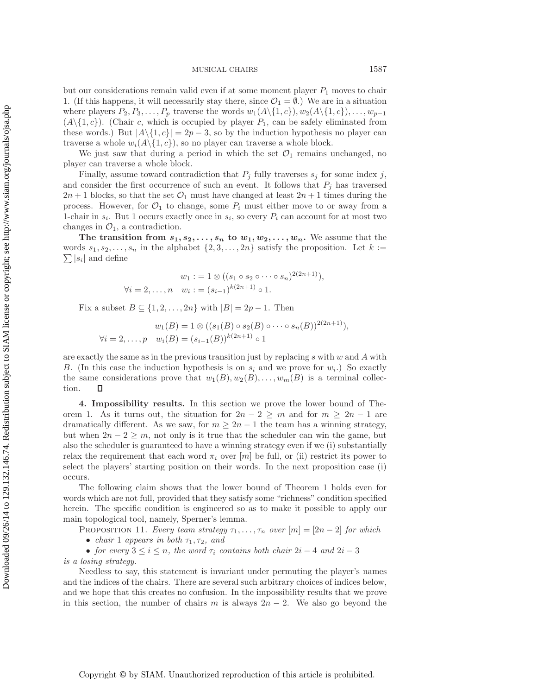but our considerations remain valid even if at some moment player  $P_1$  moves to chair 1. (If this happens, it will necessarily stay there, since  $\mathcal{O}_1 = \emptyset$ .) We are in a situation where players  $P_2, P_3, \ldots, P_p$  traverse the words  $w_1(A \setminus \{1, c\}), w_2(A \setminus \{1, c\}), \ldots, w_{p-1}$  $(A\{1,c\})$ . (Chair c, which is occupied by player  $P_1$ , can be safely eliminated from these words.) But  $|A \setminus \{1, c\}| = 2p - 3$ , so by the induction hypothesis no player can traverse a whole  $w_i(A\setminus\{1,c\})$ , so no player can traverse a whole block.

We just saw that during a period in which the set  $\mathcal{O}_1$  remains unchanged, no player can traverse a whole block.

Finally, assume toward contradiction that  $P_j$  fully traverses  $s_j$  for some index j, and consider the first occurrence of such an event. It follows that  $P_j$  has traversed  $2n + 1$  blocks, so that the set  $\mathcal{O}_1$  must have changed at least  $2n + 1$  times during the process. However, for  $\mathcal{O}_1$  to change, some  $P_i$  must either move to or away from a 1-chair in  $s_i$ . But 1 occurs exactly once in  $s_i$ , so every  $P_i$  can account for at most two changes in  $\mathcal{O}_1$ , a contradiction.

**The transition from**  $s_1, s_2, \ldots, s_n$  **to**  $w_1, w_2, \ldots, w_n$ . We assume that the words  $s_1, s_2, \ldots, s_n$  in the alphabet  $\{2, 3, \ldots, 2n\}$  satisfy the proposition. Let  $k :=$  $\sum |s_i|$  and define

$$
w_1 := 1 \otimes ((s_1 \circ s_2 \circ \cdots \circ s_n)^{2(2n+1)}),
$$
  

$$
\forall i = 2, \dots, n \quad w_i := (s_{i-1})^{k(2n+1)} \circ 1.
$$

Fix a subset  $B \subseteq \{1, 2, ..., 2n\}$  with  $|B| = 2p - 1$ . Then

$$
w_1(B) = 1 \otimes ((s_1(B) \circ s_2(B) \circ \cdots \circ s_n(B))^{2(2n+1)}),
$$
  
\n
$$
\forall i = 2, \ldots, p \quad w_i(B) = (s_{i-1}(B))^{k(2n+1)} \circ 1
$$

are exactly the same as in the previous transition just by replacing  $s$  with  $w$  and  $A$  with B. (In this case the induction hypothesis is on  $s_i$  and we prove for  $w_i$ .) So exactly the same considerations prove that  $w_1(B), w_2(B), \ldots, w_m(B)$  is a terminal collection. Д

**4. Impossibility results.** In this section we prove the lower bound of The-orem [1.](#page-1-0) As it turns out, the situation for  $2n-2 \geq m$  and for  $m \geq 2n-1$  are dramatically different. As we saw, for  $m \geq 2n - 1$  the team has a winning strategy, but when  $2n - 2 \geq m$ , not only is it true that the scheduler can win the game, but also the scheduler is guaranteed to have a winning strategy even if we (i) substantially relax the requirement that each word  $\pi_i$  over [m] be full, or (ii) restrict its power to select the players' starting position on their words. In the next proposition case (i) occurs.

The following claim shows that the lower bound of Theorem [1](#page-1-0) holds even for words which are not full, provided that they satisfy some "richness" condition specified herein. The specific condition is engineered so as to make it possible to apply our main topological tool, namely, Sperner's lemma.

<span id="page-9-0"></span>PROPOSITION 11. *Every team strategy*  $\tau_1, \ldots, \tau_n$  *over*  $[m] = [2n - 2]$  *for which* 

• *chair* 1 *appears in both*  $\tau_1, \tau_2,$  *and* 

• *for every*  $3 \leq i \leq n$ , the word  $\tau_i$  *contains both chair*  $2i - 4$  *and*  $2i - 3$ *is a losing strategy.*

Needless to say, this statement is invariant under permuting the player's names and the indices of the chairs. There are several such arbitrary choices of indices below, and we hope that this creates no confusion. In the impossibility results that we prove in this section, the number of chairs m is always  $2n - 2$ . We also go beyond the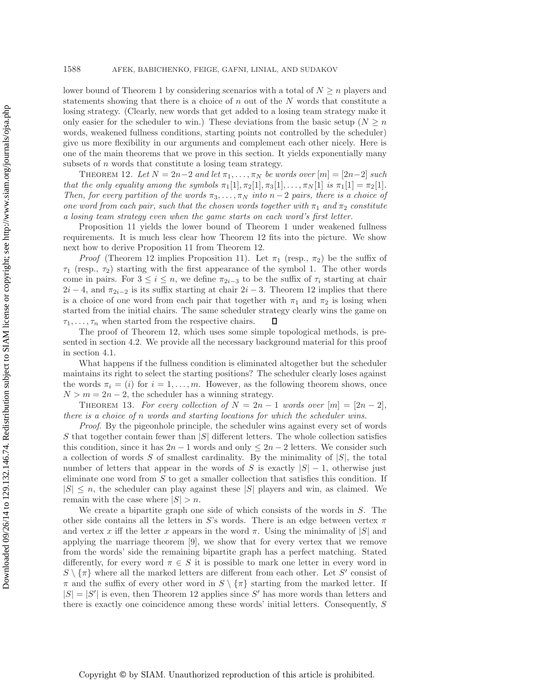lower bound of Theorem [1](#page-1-0) by considering scenarios with a total of  $N \geq n$  players and statements showing that there is a choice of  $n$  out of the  $N$  words that constitute a losing strategy. (Clearly, new words that get added to a losing team strategy make it only easier for the scheduler to win.) These deviations from the basic setup ( $N \geq n$ words, weakened fullness conditions, starting points not controlled by the scheduler) give us more flexibility in our arguments and complement each other nicely. Here is one of the main theorems that we prove in this section. It yields exponentially many subsets of *n* words that constitute a losing team strategy.

<span id="page-10-0"></span>THEOREM 12. Let  $N = 2n-2$  and let  $\pi_1, \ldots, \pi_N$  be words over  $[m] = [2n-2]$  such *that the only equality among the symbols*  $\pi_1[1], \pi_2[1], \pi_3[1], \ldots, \pi_N[1]$  *is*  $\pi_1[1] = \pi_2[1]$ *. Then, for every partition of the words*  $\pi_3, \ldots, \pi_N$  *into*  $n-2$  *pairs, there is a choice of one word from each pair, such that the chosen words together with*  $\pi_1$  *and*  $\pi_2$  *constitute a losing team strategy even when the game starts on each word's first letter.*

Proposition [11](#page-9-0) yields the lower bound of Theorem [1](#page-1-0) under weakened fullness requirements. It is much less clear how Theorem [12](#page-10-0) fits into the picture. We show next how to derive Proposition [11](#page-9-0) from Theorem [12.](#page-10-0)

*Proof* (Theorem [12](#page-10-0) implies Proposition [11\)](#page-9-0). Let  $\pi_1$  (resp.,  $\pi_2$ ) be the suffix of  $\tau_1$  (resp.,  $\tau_2$ ) starting with the first appearance of the symbol 1. The other words come in pairs. For  $3 \leq i \leq n$ , we define  $\pi_{2i-3}$  to be the suffix of  $\tau_i$  starting at chair  $2i-4$ , and  $\pi_{2i-2}$  is its suffix starting at chair  $2i-3$ . Theorem [12](#page-10-0) implies that there is a choice of one word from each pair that together with  $\pi_1$  and  $\pi_2$  is losing when started from the initial chairs. The same scheduler strategy clearly wins the game on  $\tau_1,\ldots,\tau_n$  when started from the respective chairs. Д

The proof of Theorem [12,](#page-10-0) which uses some simple topological methods, is presented in section [4.2.](#page-12-0) We provide all the necessary background material for this proof in section [4.1.](#page-11-0)

What happens if the fullness condition is eliminated altogether but the scheduler maintains its right to select the starting positions? The scheduler clearly loses against the words  $\pi_i = (i)$  for  $i = 1, \ldots, m$ . However, as the following theorem shows, once  $N > m = 2n - 2$ , the scheduler has a winning strategy.

THEOREM 13. For every collection of  $N = 2n - 1$  words over  $[m] = [2n - 2]$ , *there is a choice of* n *words and starting locations for which the scheduler wins.*

*Proof*. By the pigeonhole principle, the scheduler wins against every set of words S that together contain fewer than  $|S|$  different letters. The whole collection satisfies this condition, since it has  $2n - 1$  words and only  $\leq 2n - 2$  letters. We consider such a collection of words  $S$  of smallest cardinality. By the minimality of  $|S|$ , the total number of letters that appear in the words of S is exactly  $|S| - 1$ , otherwise just eliminate one word from S to get a smaller collection that satisfies this condition. If  $|S| \leq n$ , the scheduler can play against these |S| players and win, as claimed. We remain with the case where  $|S| > n$ .

We create a bipartite graph one side of which consists of the words in  $S$ . The other side contains all the letters in S's words. There is an edge between vertex  $\pi$ and vertex x iff the letter x appears in the word  $\pi$ . Using the minimality of  $|S|$  and applying the marriage theorem [\[9\]](#page-22-9), we show that for every vertex that we remove from the words' side the remaining bipartite graph has a perfect matching. Stated differently, for every word  $\pi \in S$  it is possible to mark one letter in every word in  $S \setminus \{\pi\}$  where all the marked letters are different from each other. Let S' consist of  $\pi$  and the suffix of every other word in  $S \setminus {\pi}$  starting from the marked letter. If  $|S| = |S'|$  is even, then Theorem [12](#page-10-0) applies since S' has more words than letters and there is exactly one coincidence among these words' initial letters. Consequently, S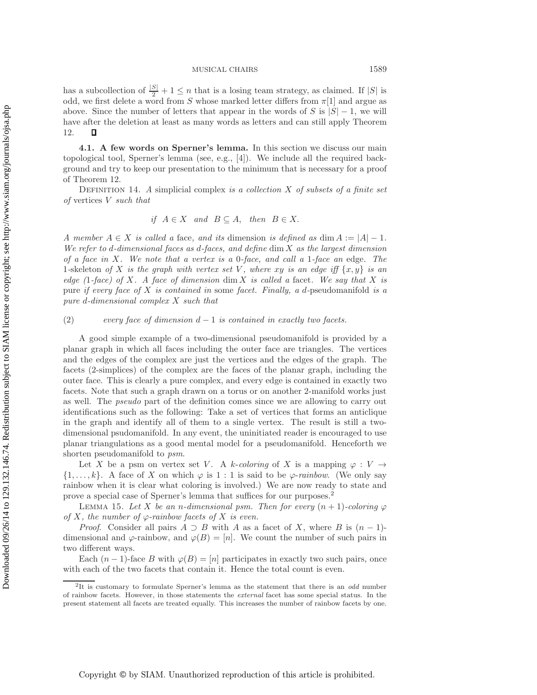has a subcollection of  $\frac{|S|}{2} + 1 \le n$  that is a losing team strategy, as claimed. If  $|S|$  is odd, we first delete a word from S whose marked letter differs from  $\pi[1]$  and argue as above. Since the number of letters that appear in the words of S is  $|S| - 1$ , we will have after the deletion at least as many words as letters and can still apply Theorem [12.](#page-10-0)  $\Box$ 

<span id="page-11-0"></span>**4.1. A few words on Sperner's lemma.** In this section we discuss our main topological tool, Sperner's lemma (see, e.g., [\[4\]](#page-22-3)). We include all the required background and try to keep our presentation to the minimum that is necessary for a proof of Theorem [12.](#page-10-0)

Definition 14. *A* simplicial complex *is a collection* X *of subsets of a finite set of* vertices V *such that*

<span id="page-11-3"></span>if 
$$
A \in X
$$
 and  $B \subseteq A$ , then  $B \in X$ .

*A* member  $A \in X$  *is called a* face, and *its* dimension *is defined as* dim  $A := |A| - 1$ *. We refer to* d*-dimensional faces as* d*-faces, and define* dim X *as the largest dimension of a face in* X*. We note that a vertex is a* 0*-face, and call a* 1*-face an* edge*. The* 1-skeleton of X is the graph with vertex set V, where xy is an edge iff  $\{x, y\}$  is an *edge (*1*-face) of* X*. A face of dimension* dim X *is called a* facet*. We say that* X *is* pure *if every face of* X *is contained in* some *facet. Finally, a* d*-*pseudomanifold *is a pure* d*-dimensional complex* X *such that*

## (2) *every face of dimension* d − 1 *is contained in exactly two facets.*

A good simple example of a two-dimensional pseudomanifold is provided by a planar graph in which all faces including the outer face are triangles. The vertices and the edges of the complex are just the vertices and the edges of the graph. The facets (2-simplices) of the complex are the faces of the planar graph, including the outer face. This is clearly a pure complex, and every edge is contained in exactly two facets. Note that such a graph drawn on a torus or on another 2-manifold works just as well. The *pseudo* part of the definition comes since we are allowing to carry out identifications such as the following: Take a set of vertices that forms an anticlique in the graph and identify all of them to a single vertex. The result is still a twodimensional psudomanifold. In any event, the uninitiated reader is encouraged to use planar triangulations as a good mental model for a pseudomanifold. Henceforth we shorten pseudomanifold to *psm*.

Let X be a psm on vertex set V. A k-coloring of X is a mapping  $\varphi: V \to$  $\{1,\ldots,k\}$ . A face of X on which  $\varphi$  is 1 : 1 is said to be  $\varphi$ -*rainbow*. (We only say rainbow when it is clear what coloring is involved.) We are now ready to state and prove a special case of Sperner's lemma that suffices for our purposes.[2](#page-11-1)

<span id="page-11-2"></span>LEMMA 15. Let X be an *n*-dimensional psm. Then for every  $(n + 1)$ -coloring  $\varphi$ *of*  $X$ *, the number of*  $\varphi$ *-rainbow facets of*  $X$  *is even.* 

*Proof.* Consider all pairs  $A \supset B$  with A as a facet of X, where B is  $(n-1)$ dimensional and  $\varphi$ -rainbow, and  $\varphi(B)=[n]$ . We count the number of such pairs in two different ways.

Each  $(n-1)$ -face B with  $\varphi(B)=[n]$  participates in exactly two such pairs, once with each of the two facets that contain it. Hence the total count is even.

<span id="page-11-1"></span><sup>2</sup>It is customary to formulate Sperner's lemma as the statement that there is an *odd* number of rainbow facets. However, in those statements the *external* facet has some special status. In the present statement all facets are treated equally. This increases the number of rainbow facets by one.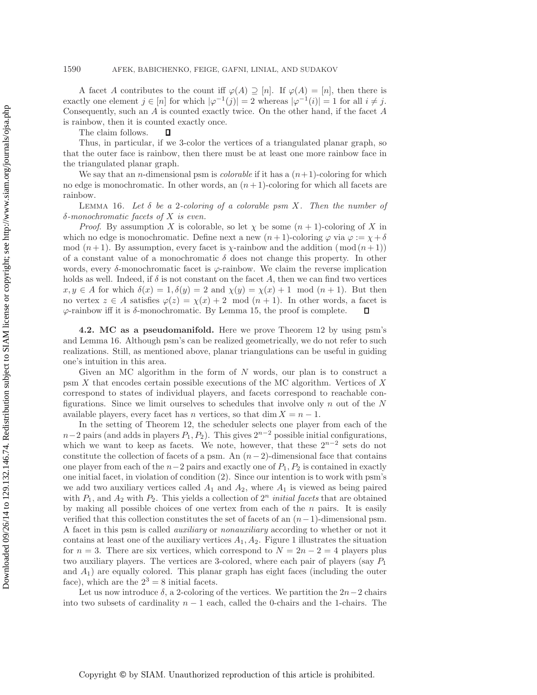A facet A contributes to the count iff  $\varphi(A) \supseteq [n]$ . If  $\varphi(A)=[n]$ , then there is exactly one element  $j \in [n]$  for which  $|\varphi^{-1}(j)| = 2$  whereas  $|\varphi^{-1}(i)| = 1$  for all  $i \neq j$ . Consequently, such an A is counted exactly twice. On the other hand, if the facet A is rainbow, then it is counted exactly once.

The claim follows.  $\Box$ 

Thus, in particular, if we 3-color the vertices of a triangulated planar graph, so that the outer face is rainbow, then there must be at least one more rainbow face in the triangulated planar graph.

We say that an *n*-dimensional psm is *colorable* if it has a  $(n+1)$ -coloring for which no edge is monochromatic. In other words, an  $(n+1)$ -coloring for which all facets are rainbow.

<span id="page-12-1"></span>Lemma 16. *Let* δ *be a* 2*-coloring of a colorable psm* X*. Then the number of* δ*-monochromatic facets of* X *is even.*

*Proof.* By assumption X is colorable, so let  $\chi$  be some  $(n + 1)$ -coloring of X in which no edge is monochromatic. Define next a new  $(n+1)$ -coloring  $\varphi$  via  $\varphi := \chi + \delta$ mod  $(n+1)$ . By assumption, every facet is  $\chi$ -rainbow and the addition  $(\text{mod} (n+1))$ of a constant value of a monochromatic  $\delta$  does not change this property. In other words, every  $\delta$ -monochromatic facet is  $\varphi$ -rainbow. We claim the reverse implication holds as well. Indeed, if  $\delta$  is not constant on the facet A, then we can find two vertices  $x, y \in A$  for which  $\delta(x) = 1, \delta(y) = 2$  and  $\chi(y) = \chi(x) + 1 \mod (n + 1)$ . But then no vertex  $z \in A$  satisfies  $\varphi(z) = \chi(x) + 2 \mod(n+1)$ . In other words, a facet is  $\varphi$ -rainbow iff it is  $\delta$ -monochromatic. By Lemma [15,](#page-11-2) the proof is complete.  $\Box$ 

<span id="page-12-0"></span>**4.2. MC as a pseudomanifold.** Here we prove Theorem [12](#page-10-0) by using psm's and Lemma [16.](#page-12-1) Although psm's can be realized geometrically, we do not refer to such realizations. Still, as mentioned above, planar triangulations can be useful in guiding one's intuition in this area.

Given an MC algorithm in the form of  $N$  words, our plan is to construct a psm X that encodes certain possible executions of the MC algorithm. Vertices of X correspond to states of individual players, and facets correspond to reachable configurations. Since we limit ourselves to schedules that involve only  $n$  out of the  $N$ available players, every facet has n vertices, so that dim  $X = n - 1$ .

In the setting of Theorem [12,](#page-10-0) the scheduler selects one player from each of the  $n-2$  pairs (and adds in players  $P_1, P_2$ ). This gives  $2^{n-2}$  possible initial configurations, which we want to keep as facets. We note, however, that these  $2^{n-2}$  sets do not constitute the collection of facets of a psm. An  $(n-2)$ -dimensional face that contains one player from each of the  $n-2$  pairs and exactly one of  $P_1, P_2$  is contained in exactly one initial facet, in violation of condition [\(2\)](#page-11-3). Since our intention is to work with psm's we add two auxiliary vertices called  $A_1$  and  $A_2$ , where  $A_1$  is viewed as being paired with  $P_1$ , and  $A_2$  with  $P_2$ . This yields a collection of  $2^n$  *initial facets* that are obtained by making all possible choices of one vertex from each of the  $n$  pairs. It is easily verified that this collection constitutes the set of facets of an  $(n-1)$ -dimensional psm. A facet in this psm is called *auxiliary* or *nonauxiliary* according to whether or not it contains at least one of the auxiliary vertices  $A_1, A_2$ . Figure [1](#page-13-0) illustrates the situation for  $n = 3$ . There are six vertices, which correspond to  $N = 2n - 2 = 4$  players plus two auxiliary players. The vertices are 3-colored, where each pair of players (say  $P_1$ ) and  $A_1$ ) are equally colored. This planar graph has eight faces (including the outer face), which are the  $2^3 = 8$  initial facets.

Let us now introduce  $\delta$ , a 2-coloring of the vertices. We partition the 2n−2 chairs into two subsets of cardinality  $n - 1$  each, called the 0-chairs and the 1-chairs. The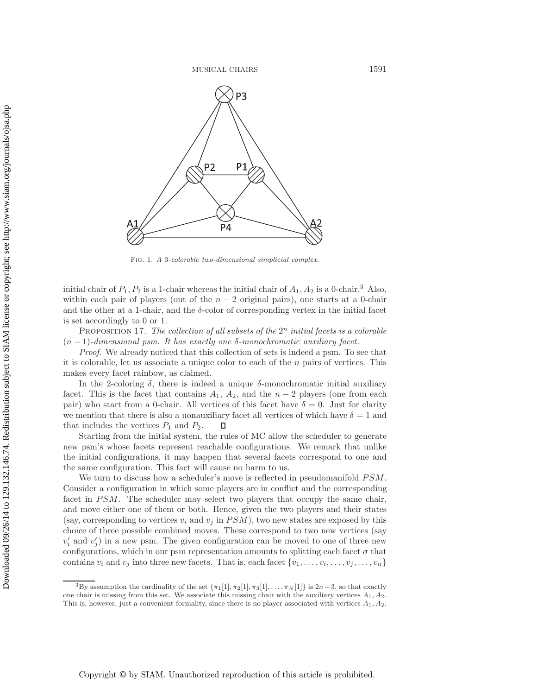

<span id="page-13-0"></span>Fig. 1. *A* 3*-colorable two-dimensional simplicial complex.*

initial chair of  $P_1, P_2$  is a 1-chair whereas the initial chair of  $A_1, A_2$  is a 0-chair.<sup>[3](#page-13-1)</sup> Also, within each pair of players (out of the  $n-2$  original pairs), one starts at a 0-chair and the other at a 1-chair, and the  $\delta$ -color of corresponding vertex in the initial facet is set accordingly to 0 or 1.

<span id="page-13-2"></span>Proposition 17. *The collection of all subsets of the* 2<sup>n</sup> *initial facets is a colorable* (n − 1)*-dimensional psm. It has exactly one* δ*-monochromatic auxiliary facet.*

*Proof*. We already noticed that this collection of sets is indeed a psm. To see that it is colorable, let us associate a unique color to each of the  $n$  pairs of vertices. This makes every facet rainbow, as claimed.

In the 2-coloring  $\delta$ , there is indeed a unique  $\delta$ -monochromatic initial auxiliary facet. This is the facet that contains  $A_1$ ,  $A_2$ , and the  $n-2$  players (one from each pair) who start from a 0-chair. All vertices of this facet have  $\delta = 0$ . Just for clarity we mention that there is also a nonauxiliary facet all vertices of which have  $\delta = 1$  and that includes the vertices  $P_1$  and  $P_2$ . П

Starting from the initial system, the rules of MC allow the scheduler to generate new psm's whose facets represent reachable configurations. We remark that unlike the initial configurations, it may happen that several facets correspond to one and the same configuration. This fact will cause no harm to us.

We turn to discuss how a scheduler's move is reflected in pseudomanifold  $PSM$ . Consider a configuration in which some players are in conflict and the corresponding facet in PSM. The scheduler may select two players that occupy the same chair, and move either one of them or both. Hence, given the two players and their states (say, corresponding to vertices  $v_i$  and  $v_j$  in PSM), two new states are exposed by this choice of three possible combined moves. These correspond to two new vertices (say  $v_i'$  and  $v_j'$ ) in a new psm. The given configuration can be moved to one of three new configurations, which in our psm representation amounts to splitting each facet  $\sigma$  that contains  $v_i$  and  $v_j$  into three new facets. That is, each facet  $\{v_1, \ldots, v_i, \ldots, v_j, \ldots, v_n\}$ 

<span id="page-13-1"></span><sup>&</sup>lt;sup>3</sup>By assumption the cardinality of the set  ${\pi_1[1], \pi_2[1], \pi_3[1], \ldots, \pi_N[1]}$  is 2n – 3, so that exactly one chair is missing from this set. We associate this missing chair with the auxiliary vertices  $A_1, A_2$ . This is, however, just a convenient formality, since there is no player associated with vertices  $A_1, A_2$ .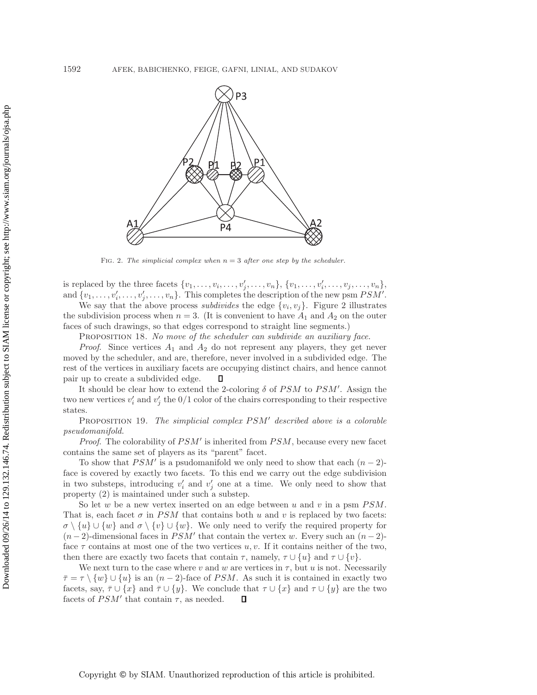

<span id="page-14-0"></span>FIG. 2. *The simplicial complex when*  $n = 3$  *after one step by the scheduler.* 

is replaced by the three facets  $\{v_1, \ldots, v_i, \ldots, v'_j, \ldots, v_n\}, \{v_1, \ldots, v'_i, \ldots, v_j, \ldots, v_n\},\$ and  $\{v_1, \ldots, v'_i, \ldots, v'_j, \ldots, v_n\}$ . This completes the description of the new psm  $PSM'$ . We say that the above process *subdivides* the edge  $\{v_i, v_j\}$ . Figure [2](#page-14-0) illustrates

<span id="page-14-1"></span>the subdivision process when  $n = 3$ . (It is convenient to have  $A_1$  and  $A_2$  on the outer faces of such drawings, so that edges correspond to straight line segments.)

PROPOSITION 18. *No move of the scheduler can subdivide an auxiliary face.* 

*Proof.* Since vertices  $A_1$  and  $A_2$  do not represent any players, they get never moved by the scheduler, and are, therefore, never involved in a subdivided edge. The rest of the vertices in auxiliary facets are occupying distinct chairs, and hence cannot pair up to create a subdivided edge. П

It should be clear how to extend the 2-coloring  $\delta$  of PSM to PSM'. Assign the two new vertices  $v_i'$  and  $v_j'$  the  $0/1$  color of the chairs corresponding to their respective states.

<span id="page-14-2"></span>PROPOSITION 19. The simplicial complex  $PSM'$  described above is a colorable *pseudomanifold.*

*Proof.* The colorability of PSM' is inherited from PSM, because every new facet contains the same set of players as its "parent" facet.

To show that  $PSM'$  is a psudomanifold we only need to show that each  $(n-2)$ face is covered by exactly two facets. To this end we carry out the edge subdivision in two substeps, introducing  $v_i'$  and  $v_j'$  one at a time. We only need to show that property [\(2\)](#page-11-3) is maintained under such a substep.

So let w be a new vertex inserted on an edge between u and v in a psm  $PSM$ . That is, each facet  $\sigma$  in *PSM* that contains both u and v is replaced by two facets:  $\sigma \setminus \{u\} \cup \{w\}$  and  $\sigma \setminus \{v\} \cup \{w\}$ . We only need to verify the required property for  $(n-2)$ -dimensional faces in  $PSM'$  that contain the vertex w. Every such an  $(n-2)$ face  $\tau$  contains at most one of the two vertices u, v. If it contains neither of the two, then there are exactly two facets that contain  $\tau$ , namely,  $\tau \cup \{u\}$  and  $\tau \cup \{v\}$ .

We next turn to the case where v and w are vertices in  $\tau$ , but u is not. Necessarily  $\bar{\tau} = \tau \setminus \{w\} \cup \{u\}$  is an  $(n-2)$ -face of PSM. As such it is contained in exactly two facets, say,  $\bar{\tau} \cup \{x\}$  and  $\bar{\tau} \cup \{y\}$ . We conclude that  $\tau \cup \{x\}$  and  $\tau \cup \{y\}$  are the two facets of  $PSM'$  that contain  $\tau$ , as needed.  $\Box$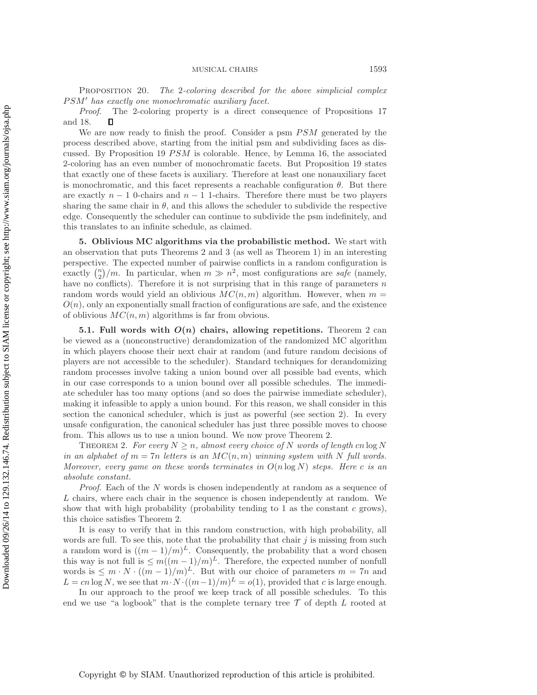Proposition 20. *The* 2*-coloring described for the above simplicial complex* PSM' has exactly one monochromatic auxiliary facet.

*Proof*. The 2-coloring property is a direct consequence of Propositions [17](#page-13-2) and [18.](#page-14-1) П

We are now ready to finish the proof. Consider a psm  $PSM$  generated by the process described above, starting from the initial psm and subdividing faces as discussed. By Proposition [19](#page-14-2) PSM is colorable. Hence, by Lemma [16,](#page-12-1) the associated 2-coloring has an even number of monochromatic facets. But Proposition [19](#page-14-2) states that exactly one of these facets is auxiliary. Therefore at least one nonauxiliary facet is monochromatic, and this facet represents a reachable configuration  $\theta$ . But there are exactly  $n-1$  0-chairs and  $n-1$  1-chairs. Therefore there must be two players sharing the same chair in  $\theta$ , and this allows the scheduler to subdivide the respective edge. Consequently the scheduler can continue to subdivide the psm indefinitely, and this translates to an infinite schedule, as claimed.

**5. Oblivious MC algorithms via the probabilistic method.** We start with an observation that puts Theorems [2](#page-1-1) and [3](#page-2-0) (as well as Theorem [1\)](#page-1-0) in an interesting perspective. The expected number of pairwise conflicts in a random configuration is exactly  $\binom{n}{2}/m$ . In particular, when  $m \gg n^2$ , most configurations are *safe* (namely, have no conflicts). Therefore it is not surprising that in this range of parameters  $n$ random words would yield an oblivious  $MC(n, m)$  algorithm. However, when  $m =$  $O(n)$ , only an exponentially small fraction of configurations are safe, and the existence of oblivious  $MC(n, m)$  algorithms is far from obvious.

**5.1. Full words with**  $O(n)$  **chairs, allowing repetitions.** Theorem [2](#page-1-1) can be viewed as a (nonconstructive) derandomization of the randomized MC algorithm in which players choose their next chair at random (and future random decisions of players are not accessible to the scheduler). Standard techniques for derandomizing random processes involve taking a union bound over all possible bad events, which in our case corresponds to a union bound over all possible schedules. The immediate scheduler has too many options (and so does the pairwise immediate scheduler), making it infeasible to apply a union bound. For this reason, we shall consider in this section the canonical scheduler, which is just as powerful (see section [2\)](#page-3-0). In every unsafe configuration, the canonical scheduler has just three possible moves to choose from. This allows us to use a union bound. We now prove Theorem [2.](#page-1-1)

THEOREM [2](#page-1-1)*. For every*  $N \geq n$ , almost every choice of N words of length cn  $\log N$ *in an alphabet of*  $m = 7n$  *letters is an*  $MC(n, m)$  *winning system with* N full words. *Moreover, every game on these words terminates in* O(n log N) *steps. Here* c *is an absolute constant.*

*Proof*. Each of the N words is chosen independently at random as a sequence of  $L$  chairs, where each chair in the sequence is chosen independently at random. We show that with high probability (probability tending to 1 as the constant  $c$  grows), this choice satisfies Theorem [2.](#page-1-1)

It is easy to verify that in this random construction, with high probability, all words are full. To see this, note that the probability that chair  $j$  is missing from such a random word is  $((m-1)/m)^L$ . Consequently, the probability that a word chosen this way is not full is  $\leq m((m-1)/m)^L$ . Therefore, the expected number of nonfull words is  $\leq m \cdot N \cdot ((m-1)/m)^L$ . But with our choice of parameters  $m = 7n$  and  $L = cn \log N$ , we see that  $m \cdot N \cdot ((m-1)/m)^L = o(1)$ , provided that c is large enough.

In our approach to the proof we keep track of all possible schedules. To this end we use "a logbook" that is the complete ternary tree  $\mathcal T$  of depth L rooted at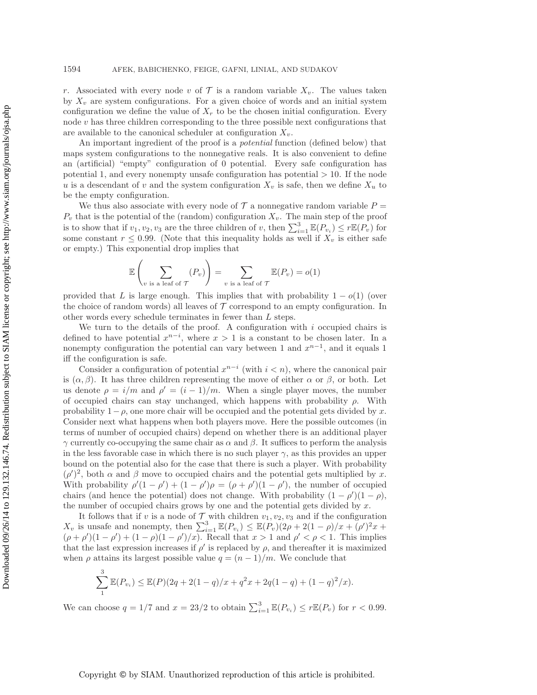r. Associated with every node v of  $\mathcal T$  is a random variable  $X_v$ . The values taken by  $X_v$  are system configurations. For a given choice of words and an initial system configuration we define the value of  $X_r$  to be the chosen initial configuration. Every node v has three children corresponding to the three possible next configurations that are available to the canonical scheduler at configuration  $X_v$ .

An important ingredient of the proof is a *potential* function (defined below) that maps system configurations to the nonnegative reals. It is also convenient to define an (artificial) "empty" configuration of 0 potential. Every safe configuration has potential 1, and every nonempty unsafe configuration has potential  $> 10$ . If the node u is a descendant of v and the system configuration  $X_v$  is safe, then we define  $X_u$  to be the empty configuration.

We thus also associate with every node of  $\mathcal T$  a nonnegative random variable  $P =$  $P_v$  that is the potential of the (random) configuration  $X_v$ . The main step of the proof is to show that if  $v_1, v_2, v_3$  are the three children of v, then  $\sum_{i=1}^{3} \mathbb{E}(P_{v_i}) \le r \mathbb{E}(P_v)$  for some constant  $r \leq 0.99$ . (Note that this inequality holds as well if  $X_v$  is either safe or empty.) This exponential drop implies that

$$
\mathbb{E}\left(\sum_{v \text{ is a leaf of } \mathcal{T}}(P_v)\right) = \sum_{v \text{ is a leaf of } \mathcal{T}} \mathbb{E}(P_v) = o(1)
$$

provided that L is large enough. This implies that with probability  $1 - o(1)$  (over the choice of random words) all leaves of  $\mathcal T$  correspond to an empty configuration. In other words every schedule terminates in fewer than L steps.

We turn to the details of the proof. A configuration with  $i$  occupied chairs is defined to have potential  $x^{n-i}$ , where  $x > 1$  is a constant to be chosen later. In a nonempty configuration the potential can vary between 1 and  $x^{n-1}$ , and it equals 1 iff the configuration is safe.

Consider a configuration of potential  $x^{n-i}$  (with  $i < n$ ), where the canonical pair is  $(\alpha, \beta)$ . It has three children representing the move of either  $\alpha$  or  $\beta$ , or both. Let us denote  $\rho = i/m$  and  $\rho' = (i - 1)/m$ . When a single player moves, the number of occupied chairs can stay unchanged, which happens with probability  $\rho$ . With probability  $1-\rho$ , one more chair will be occupied and the potential gets divided by x. Consider next what happens when both players move. Here the possible outcomes (in terms of number of occupied chairs) depend on whether there is an additional player γ currently co-occupying the same chair as α and β. It suffices to perform the analysis in the less favorable case in which there is no such player  $\gamma$ , as this provides an upper bound on the potential also for the case that there is such a player. With probability  $(\rho')^2$ , both  $\alpha$  and  $\beta$  move to occupied chairs and the potential gets multiplied by x. With probability  $\rho'(1-\rho')+(1-\rho')\rho=(\rho+\rho')(1-\rho')$ , the number of occupied chairs (and hence the potential) does not change. With probability  $(1 - \rho')(1 - \rho)$ , the number of occupied chairs grows by one and the potential gets divided by  $x$ .

It follows that if v is a node of  $\mathcal T$  with children  $v_1, v_2, v_3$  and if the configuration  $X_v$  is unsafe and nonempty, then  $\sum_{i=1}^3 \mathbb{E}(P_{v_i}) \leq \mathbb{E}(P_v)(2\rho + 2(1-\rho)/x + (\rho')^2x +$  $(\rho + \rho')(1 - \rho') + (1 - \rho)(1 - \rho')/x$ . Recall that  $x > 1$  and  $\rho' < \rho < 1$ . This implies that the last expression increases if  $\rho'$  is replaced by  $\rho$ , and thereafter it is maximized when  $\rho$  attains its largest possible value  $q = (n-1)/m$ . We conclude that

$$
\sum_{1}^{3} \mathbb{E}(P_{v_i}) \leq \mathbb{E}(P)(2q + 2(1-q)/x + q^2x + 2q(1-q) + (1-q)^2/x).
$$

We can choose  $q = 1/7$  and  $x = 23/2$  to obtain  $\sum_{i=1}^{3} \mathbb{E}(P_{v_i}) \leq r \mathbb{E}(P_v)$  for  $r < 0.99$ .

# Copyright © by SIAM. Unauthorized reproduction of this article is prohibited.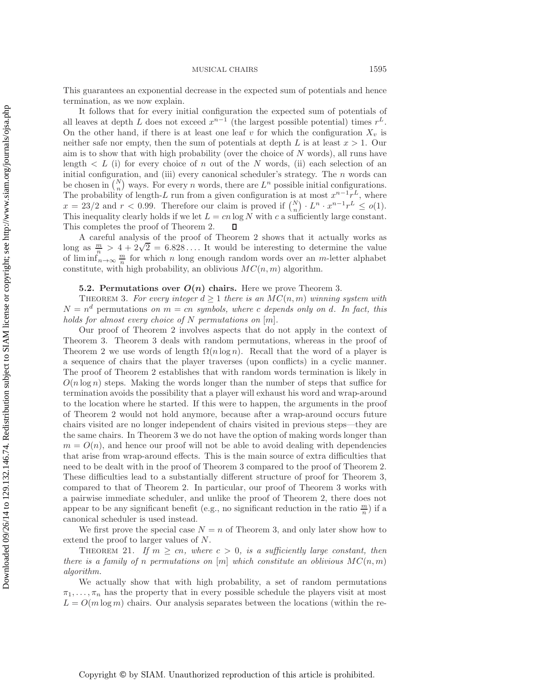This guarantees an exponential decrease in the expected sum of potentials and hence termination, as we now explain.

It follows that for every initial configuration the expected sum of potentials of all leaves at depth L does not exceed  $x^{n-1}$  (the largest possible potential) times  $r^L$ . On the other hand, if there is at least one leaf v for which the configuration  $X_v$  is neither safe nor empty, then the sum of potentials at depth L is at least  $x > 1$ . Our aim is to show that with high probability (over the choice of  $N$  words), all runs have length  $\langle L (i) \rangle$  for every choice of n out of the N words, (ii) each selection of an initial configuration, and (iii) every canonical scheduler's strategy. The  $n$  words can be chosen in  $\binom{N}{n}$  ways. For every n words, there are  $L^n$  possible initial configurations. The probability of length-L run from a given configuration is at most  $x^{n-1}r^L$ , where  $x = 23/2$  and  $r < 0.99$ . Therefore our claim is proved if  $\binom{N}{n} \cdot L^n \cdot x^{n-1} r^L \le o(1)$ . This inequality clearly holds if we let  $L = cn \log N$  with c a sufficiently large constant. This completes the proof of Theorem [2.](#page-1-1)  $\Box$ 

A careful analysis of the proof of Theorem [2](#page-1-1) shows that it actually works as A careful analysis of the proof of Theorem 2 shows that it actually works as<br>long as  $\frac{m}{n} > 4 + 2\sqrt{2} = 6.828...$  It would be interesting to determine the value of  $\liminf_{n\to\infty}^n \frac{m}{n}$  for which n long enough random words over an m-letter alphabet constitute, with high probability, an oblivious  $MC(n, m)$  algorithm.

## **5.2. Permutations over**  $O(n)$  **chairs.** Here we prove Theorem [3.](#page-2-0)

THEOREM [3](#page-2-0)*. For every integer*  $d \geq 1$  *there is an*  $MC(n, m)$  *winning system with*  $N = n<sup>d</sup>$  permutations *on*  $m = cn$  *symbols, where c depends only on d.* In fact, this *holds for almost every choice of* N *permutations on* [m]*.*

Our proof of Theorem [2](#page-1-1) involves aspects that do not apply in the context of Theorem [3.](#page-2-0) Theorem [3](#page-2-0) deals with random permutations, whereas in the proof of Theorem [2](#page-1-1) we use words of length  $\Omega(n \log n)$ . Recall that the word of a player is a sequence of chairs that the player traverses (upon conflicts) in a cyclic manner. The proof of Theorem [2](#page-1-1) establishes that with random words termination is likely in  $O(n \log n)$  steps. Making the words longer than the number of steps that suffice for termination avoids the possibility that a player will exhaust his word and wrap-around to the location where he started. If this were to happen, the arguments in the proof of Theorem [2](#page-1-1) would not hold anymore, because after a wrap-around occurs future chairs visited are no longer independent of chairs visited in previous steps—they are the same chairs. In Theorem [3](#page-2-0) we do not have the option of making words longer than  $m = O(n)$ , and hence our proof will not be able to avoid dealing with dependencies that arise from wrap-around effects. This is the main source of extra difficulties that need to be dealt with in the proof of Theorem [3](#page-2-0) compared to the proof of Theorem [2.](#page-1-1) These difficulties lead to a substantially different structure of proof for Theorem [3,](#page-2-0) compared to that of Theorem [2.](#page-1-1) In particular, our proof of Theorem [3](#page-2-0) works with a pairwise immediate scheduler, and unlike the proof of Theorem [2,](#page-1-1) there does not appear to be any significant benefit (e.g., no significant reduction in the ratio  $\frac{m}{n}$ ) if a canonical scheduler is used instead.

We first prove the special case  $N = n$  of Theorem [3,](#page-2-0) and only later show how to extend the proof to larger values of N.

<span id="page-17-0"></span>THEOREM 21. If  $m \geq cn$ , where  $c > 0$ , is a sufficiently large constant, then *there is a family of n permutations on*  $[m]$  *which constitute an oblivious*  $MC(n, m)$ *algorithm.*

We actually show that with high probability, a set of random permutations  $\pi_1, \ldots, \pi_n$  has the property that in every possible schedule the players visit at most  $L = O(m \log m)$  chairs. Our analysis separates between the locations (within the re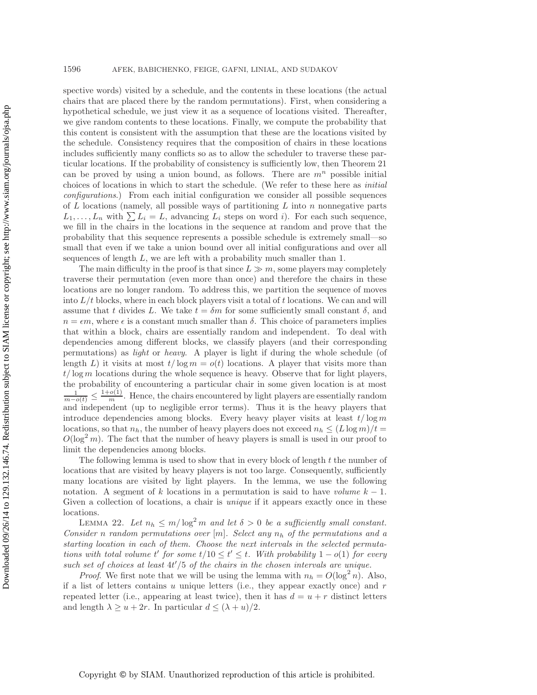spective words) visited by a schedule, and the contents in these locations (the actual chairs that are placed there by the random permutations). First, when considering a hypothetical schedule, we just view it as a sequence of locations visited. Thereafter, we give random contents to these locations. Finally, we compute the probability that this content is consistent with the assumption that these are the locations visited by the schedule. Consistency requires that the composition of chairs in these locations includes sufficiently many conflicts so as to allow the scheduler to traverse these particular locations. If the probability of consistency is sufficiently low, then Theorem [21](#page-17-0) can be proved by using a union bound, as follows. There are  $m<sup>n</sup>$  possible initial choices of locations in which to start the schedule. (We refer to these here as *initial configurations*.) From each initial configuration we consider all possible sequences of  $L$  locations (namely, all possible ways of partitioning  $L$  into  $n$  nonnegative parts  $L_1,\ldots,L_n$  with  $\sum L_i = L$ , advancing  $L_i$  steps on word i). For each such sequence, we fill in the chairs in the locations in the sequence at random and prove that the probability that this sequence represents a possible schedule is extremely small—so small that even if we take a union bound over all initial configurations and over all sequences of length L, we are left with a probability much smaller than 1.

The main difficulty in the proof is that since  $L \gg m$ , some players may completely traverse their permutation (even more than once) and therefore the chairs in these locations are no longer random. To address this, we partition the sequence of moves into  $L/t$  blocks, where in each block players visit a total of t locations. We can and will assume that t divides L. We take  $t = \delta m$  for some sufficiently small constant  $\delta$ , and  $n = \epsilon m$ , where  $\epsilon$  is a constant much smaller than  $\delta$ . This choice of parameters implies that within a block, chairs are essentially random and independent. To deal with dependencies among different blocks, we classify players (and their corresponding permutations) as *light* or *heavy*. A player is light if during the whole schedule (of length L) it visits at most  $t/\log m = o(t)$  locations. A player that visits more than  $t/\log m$  locations during the whole sequence is heavy. Observe that for light players, the probability of encountering a particular chair in some given location is at most  $\frac{1}{m-o(t)} \leq \frac{1+o(1)}{m}$ . Hence, the chairs encountered by light players are essentially random and independent (up to negligible error terms). Thus it is the heavy players that introduce dependencies among blocks. Every heavy player visits at least  $t/\log m$ locations, so that  $n_h$ , the number of heavy players does not exceed  $n_h \leq (L \log m)/t$  $O(\log^2 m)$ . The fact that the number of heavy players is small is used in our proof to limit the dependencies among blocks.

The following lemma is used to show that in every block of length t the number of locations that are visited by heavy players is not too large. Consequently, sufficiently many locations are visited by light players. In the lemma, we use the following notation. A segment of k locations in a permutation is said to have *volume*  $k - 1$ . Given a collection of locations, a chair is *unique* if it appears exactly once in these locations.

<span id="page-18-0"></span>LEMMA 22. Let  $n_h \leq m/\log^2 m$  and let  $\delta > 0$  be a sufficiently small constant. *Consider* n *random permutations over*  $[m]$ *. Select any*  $n_h$  *of the permutations and a starting location in each of them. Choose the next intervals in the selected permutations with total volume t' for some*  $t/10 \le t' \le t$ . With probability  $1 - o(1)$  *for every such set of choices at least* 4t /5 *of the chairs in the chosen intervals are unique.*

*Proof.* We first note that we will be using the lemma with  $n_h = O(\log^2 n)$ . Also, if a list of letters contains u unique letters (i.e., they appear exactly once) and  $r$ repeated letter (i.e., appearing at least twice), then it has  $d = u + r$  distinct letters and length  $\lambda \geq u + 2r$ . In particular  $d \leq (\lambda + u)/2$ .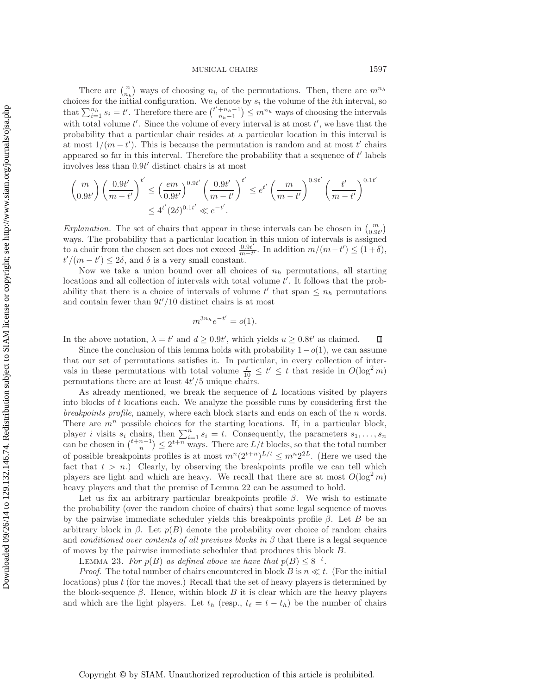There are  $\binom{n}{n_h}$  ways of choosing  $n_h$  of the permutations. Then, there are  $m^{n_h}$ choices for the initial configuration. We denote by  $s_i$  the volume of the *i*th interval, so that  $\sum_{i=1}^{n_h} s_i = t'$ . Therefore there are  $\binom{t'+n_h-1}{n_h-1} \leq m^{n_h}$  ways of choosing the intervals with total volume  $t'$ . Since the volume of every interval is at most  $t'$ , we have that the probability that a particular chair resides at a particular location in this interval is at most  $1/(m-t')$ . This is because the permutation is random and at most t' chairs appeared so far in this interval. Therefore the probability that a sequence of  $t'$  labels involves less than 0.9t distinct chairs is at most

$$
\binom{m}{0.9t'} \left(\frac{0.9t'}{m-t'}\right)^{t'} \le \left(\frac{em}{0.9t'}\right)^{0.9t'} \left(\frac{0.9t'}{m-t'}\right)^{t'} \le e^{t'} \left(\frac{m}{m-t'}\right)^{0.9t'} \left(\frac{t'}{m-t'}\right)^{0.1t'}
$$

$$
\le 4^{t'} (2\delta)^{0.1t'} \ll e^{-t'}.
$$

*Explanation.* The set of chairs that appear in these intervals can be chosen in  $\binom{m}{0.9t}$ ways. The probability that a particular location in this union of intervals is assigned to a chair from the chosen set does not exceed  $\frac{0.9t'}{m-t'}$ . In addition  $m/(m-t') \leq (1+\delta)$ ,  $t'/(m-t') \leq 2\delta$ , and  $\delta$  is a very small constant.

Now we take a union bound over all choices of  $n_h$  permutations, all starting locations and all collection of intervals with total volume  $t'$ . It follows that the probability that there is a choice of intervals of volume  $t'$  that span  $\leq n_h$  permutations and contain fewer than  $9t'/10$  distinct chairs is at most

$$
m^{3n_h}e^{-t'} = o(1).
$$

In the above notation,  $\lambda = t'$  and  $d \geq 0.9t'$ , which yields  $u \geq 0.8t'$  as claimed. П

Since the conclusion of this lemma holds with probability  $1-o(1)$ , we can assume that our set of permutations satisfies it. In particular, in every collection of intervals in these permutations with total volume  $\frac{t}{10} \leq t' \leq t$  that reside in  $O(\log^2 m)$ permutations there are at least  $4t'/5$  unique chairs.

As already mentioned, we break the sequence of L locations visited by players into blocks of  $t$  locations each. We analyze the possible runs by considering first the *breakpoints profile*, namely, where each block starts and ends on each of the n words. There are  $m<sup>n</sup>$  possible choices for the starting locations. If, in a particular block, player *i* visits  $s_i$  chairs, then  $\sum_{i=1}^n s_i = t$ . Consequently, the parameters  $s_1, \ldots, s_n$ can be chosen in  $\binom{t+n-1}{n} \leq 2^{t+n}$  ways. There are  $L/t$  blocks, so that the total number of possible breakpoints profiles is at most  $m^n(2^{t+n})^{L/t} \leq m^n 2^{2L}$ . (Here we used the fact that  $t > n$ .) Clearly, by observing the breakpoints profile we can tell which players are light and which are heavy. We recall that there are at most  $O(\log^2 m)$ heavy players and that the premise of Lemma [22](#page-18-0) can be assumed to hold.

Let us fix an arbitrary particular breakpoints profile  $\beta$ . We wish to estimate the probability (over the random choice of chairs) that some legal sequence of moves by the pairwise immediate scheduler yields this breakpoints profile  $\beta$ . Let B be an arbitrary block in  $\beta$ . Let  $p(B)$  denote the probability over choice of random chairs and *conditioned over contents of all previous blocks in* β that there is a legal sequence of moves by the pairwise immediate scheduler that produces this block B.

<span id="page-19-0"></span>LEMMA 23. For  $p(B)$  as defined above we have that  $p(B) \leq 8^{-t}$ .

*Proof.* The total number of chairs encountered in block B is  $n \ll t$ . (For the initial locations) plus  $t$  (for the moves.) Recall that the set of heavy players is determined by the block-sequence  $\beta$ . Hence, within block B it is clear which are the heavy players and which are the light players. Let  $t_h$  (resp.,  $t_\ell = t - t_h$ ) be the number of chairs

Downloaded 09/26/14 to 129.132.146.74. Redistribution subject to SIAM license or copyright; see http://www.siam.org/journals/ojsa.php Downloaded 09/26/14 to 129.132.146.74. Redistribution subject to SIAM license or copyright; see http://www.siam.org/journals/ojsa.php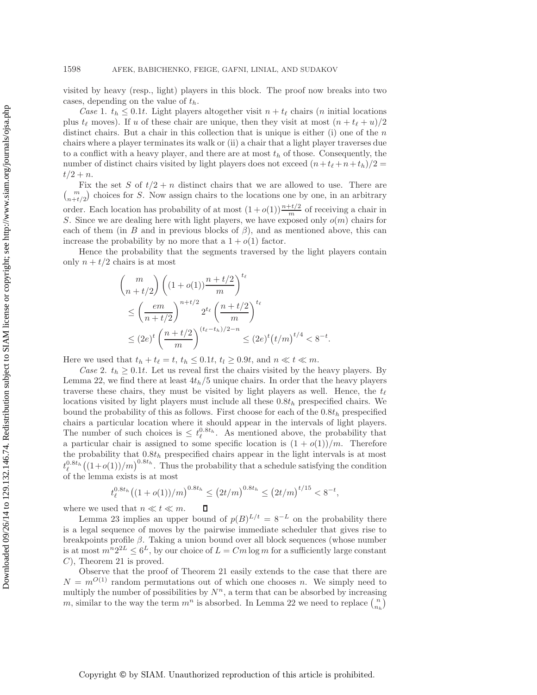visited by heavy (resp., light) players in this block. The proof now breaks into two cases, depending on the value of  $t_h$ .

*Case* 1.  $t_h \leq 0.1t$ . Light players altogether visit  $n + t_{\ell}$  chairs (*n* initial locations plus  $t_{\ell}$  moves). If u of these chair are unique, then they visit at most  $(n + t_{\ell} + u)/2$ distinct chairs. But a chair in this collection that is unique is either (i) one of the  $n$ chairs where a player terminates its walk or (ii) a chair that a light player traverses due to a conflict with a heavy player, and there are at most  $t<sub>h</sub>$  of those. Consequently, the number of distinct chairs visited by light players does not exceed  $(n+t_{\ell}+n+t_h)/2 =$  $t/2 + n$ .

Fix the set S of  $t/2 + n$  distinct chairs that we are allowed to use. There are  $\binom{m}{n+t/2}$  choices for S. Now assign chairs to the locations one by one, in an arbitrary order. Each location has probability of at most  $(1+o(1))\frac{n+t/2}{m}$  of receiving a chair in S. Since we are dealing here with light players, we have exposed only  $o(m)$  chairs for each of them (in B and in previous blocks of  $\beta$ ), and as mentioned above, this can increase the probability by no more that a  $1 + o(1)$  factor.

Hence the probability that the segments traversed by the light players contain only  $n + t/2$  chairs is at most

$$
\binom{m}{n+t/2} \left( (1+o(1)) \frac{n+t/2}{m} \right)^{t_{\ell}}
$$
\n
$$
\leq \left( \frac{em}{n+t/2} \right)^{n+t/2} 2^{t_{\ell}} \left( \frac{n+t/2}{m} \right)^{t_{\ell}}
$$
\n
$$
\leq (2e)^{t} \left( \frac{n+t/2}{m} \right)^{(t_{\ell}-t_{h})/2-n} \leq (2e)^{t} (t/m)^{t/4} < 8^{-t}.
$$

Here we used that  $t_h + t_\ell = t$ ,  $t_h \leq 0.1t$ ,  $t_l \geq 0.9t$ , and  $n \ll t \ll m$ .

*Case* 2.  $t_h \geq 0.1t$ . Let us reveal first the chairs visited by the heavy players. By Lemma [22,](#page-18-0) we find there at least  $4t_h/5$  unique chairs. In order that the heavy players traverse these chairs, they must be visited by light players as well. Hence, the  $t_{\ell}$ locations visited by light players must include all these  $0.8t<sub>h</sub>$  prespecified chairs. We bound the probability of this as follows. First choose for each of the  $0.8t<sub>h</sub>$  prespecified chairs a particular location where it should appear in the intervals of light players. The number of such choices is  $\leq t_{\ell}^{0.8t_h}$ . As mentioned above, the probability that a particular chair is assigned to some specific location is  $(1 + o(1))/m$ . Therefore the probability that  $0.8t<sub>h</sub>$  prespecified chairs appear in the light intervals is at most  $t_{\ell}^{0.8t_h}((1+o(1))/m)^{0.8t_h}$ . Thus the probability that a schedule satisfying the condition of the lemma exists is at most

$$
t_{\ell}^{0.8t_h}((1+o(1))/m)^{0.8t_h} \le (2t/m)^{0.8t_h} \le (2t/m)^{t/15} < 8^{-t},
$$

 $\Box$ 

where we used that  $n \ll t \ll m$ .

Lemma [23](#page-19-0) implies an upper bound of  $p(B)^{L/t} = 8^{-L}$  on the probability there is a legal sequence of moves by the pairwise immediate scheduler that gives rise to breakpoints profile  $\beta$ . Taking a union bound over all block sequences (whose number is at most  $m^n 2^{2L} \leq 6^L$ , by our choice of  $L = Cm \log m$  for a sufficiently large constant  $C$ ), Theorem [21](#page-17-0) is proved.

Observe that the proof of Theorem [21](#page-17-0) easily extends to the case that there are  $N = m^{O(1)}$  random permutations out of which one chooses n. We simply need to multiply the number of possibilities by  $N^n$ , a term that can be absorbed by increasing m, similar to the way the term  $m^n$  is absorbed. In Lemma [22](#page-18-0) we need to replace  $\binom{n}{n_h}$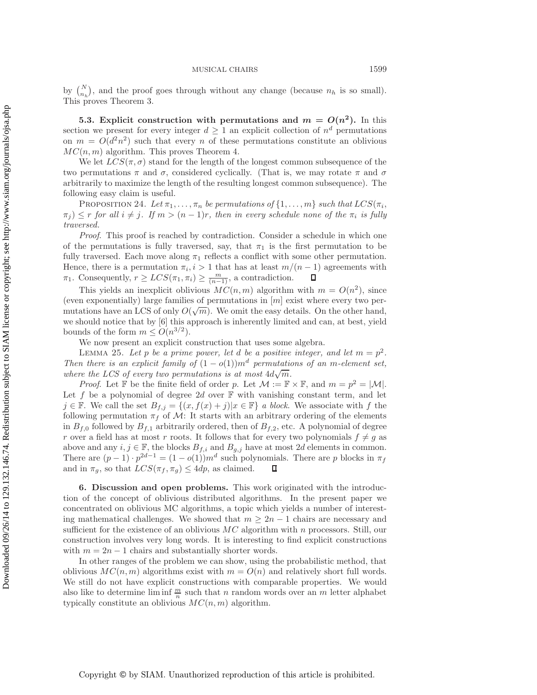by  $\binom{N}{n_h}$ , and the proof goes through without any change (because  $n_h$  is so small). This proves Theorem [3.](#page-2-0)

**5.3. Explicit construction with permutations and**  $m = O(n^2)$ **.** In this section we present for every integer  $d \geq 1$  an explicit collection of  $n^d$  permutations on  $m = O(d^2n^2)$  such that every n of these permutations constitute an oblivious  $MC(n, m)$  algorithm. This proves Theorem [4.](#page-2-1)

We let  $LCS(\pi,\sigma)$  stand for the length of the longest common subsequence of the two permutations  $\pi$  and  $\sigma$ , considered cyclically. (That is, we may rotate  $\pi$  and  $\sigma$ arbitrarily to maximize the length of the resulting longest common subsequence). The following easy claim is useful.

PROPOSITION 24. Let  $\pi_1, \ldots, \pi_n$  be permutations of  $\{1, \ldots, m\}$  *such that*  $LCS(\pi_i,$  $\pi_j$   $\leq$  *r for all*  $i \neq j$ *. If*  $m > (n-1)r$ *, then in every schedule none of the*  $\pi_i$  *is fully traversed.*

*Proof*. This proof is reached by contradiction. Consider a schedule in which one of the permutations is fully traversed, say, that  $\pi_1$  is the first permutation to be fully traversed. Each move along  $\pi_1$  reflects a conflict with some other permutation. Hence, there is a permutation  $\pi_i, i > 1$  that has at least  $m/(n-1)$  agreements with  $\pi_1$ . Consequently,  $r \geq LCS(\pi_1, \pi_i) \geq \frac{m}{(n-1)}$ , a contradiction. П

This yields an inexplicit oblivious  $MC(n, m)$  algorithm with  $m = O(n^2)$ , since (even exponentially) large families of permutations in  $[m]$  exist where every two per-(even exponentially) large families of permutations in  $[m]$  exist where every two permutations have an LCS of only  $O(\sqrt{m})$ . We omit the easy details. On the other hand, we should notice that by [\[6\]](#page-22-10) this approach is inherently limited and can, at best, yield bounds of the form  $m \leq O(n^{3/2})$ .

We now present an explicit construction that uses some algebra.

LEMMA 25. Let p be a prime power, let d be a positive integer, and let  $m = p^2$ . *Then there is an explicit family of*  $(1 - o(1))m<sup>d</sup>$  *permutations of an m-element set, where the LCS of every two permutations is at most*  $4d\sqrt{m}$ .

*Proof.* Let F be the finite field of order p. Let  $\mathcal{M} := \mathbb{F} \times \mathbb{F}$ , and  $m = p^2 = |\mathcal{M}|$ . Let f be a polynomial of degree 2d over  $\mathbb F$  with vanishing constant term, and let  $j \in \mathbb{F}$ . We call the set  $B_{f,j} = \{(x, f(x) + j)|x \in \mathbb{F}\}\$ a block. We associate with f the following permutation  $\pi_f$  of M: It starts with an arbitrary ordering of the elements in  $B_{f,0}$  followed by  $B_{f,1}$  arbitrarily ordered, then of  $B_{f,2}$ , etc. A polynomial of degree r over a field has at most r roots. It follows that for every two polynomials  $f \neq g$  as above and any  $i, j \in \mathbb{F}$ , the blocks  $B_{f,i}$  and  $B_{g,j}$  have at most 2d elements in common. There are  $(p-1) \cdot p^{2d-1} = (1 - o(1))m^d$  such polynomials. There are p blocks in  $\pi_f$ and in  $\pi_g$ , so that  $LCS(\pi_f, \pi_g) \leq 4dp$ , as claimed. П

**6. Discussion and open problems.** This work originated with the introduction of the concept of oblivious distributed algorithms. In the present paper we concentrated on oblivious MC algorithms, a topic which yields a number of interesting mathematical challenges. We showed that  $m \geq 2n - 1$  chairs are necessary and sufficient for the existence of an oblivious  $MC$  algorithm with n processors. Still, our construction involves very long words. It is interesting to find explicit constructions with  $m = 2n - 1$  chairs and substantially shorter words.

In other ranges of the problem we can show, using the probabilistic method, that oblivious  $MC(n, m)$  algorithms exist with  $m = O(n)$  and relatively short full words. We still do not have explicit constructions with comparable properties. We would also like to determine  $\liminf \frac{m}{n}$  such that n random words over an m letter alphabet typically constitute an oblivious  $MC(n, m)$  algorithm.